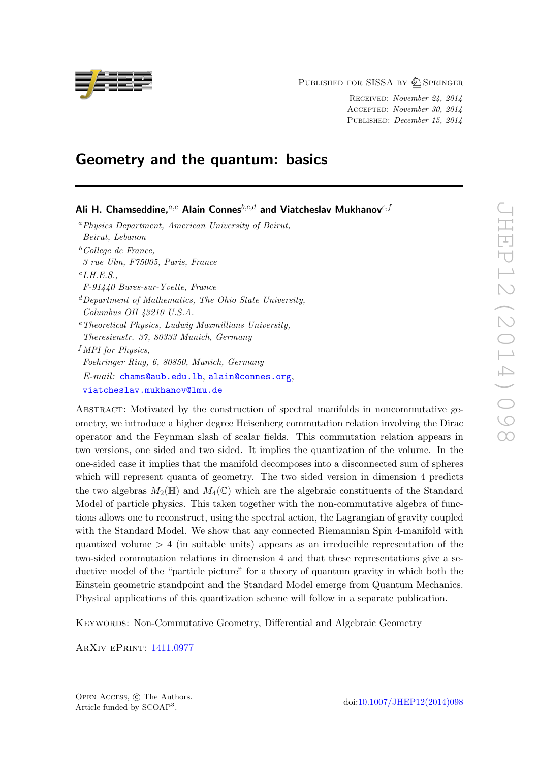PUBLISHED FOR SISSA BY 2 SPRINGER

Received: November 24, 2014 Accepted: November 30, 2014 PUBLISHED: *December 15, 2014* 

# Geometry and the quantum: basics

Ali H. Chamseddine.<sup>a,c</sup> Alain Connes<sup>b,c,d</sup> and Viatcheslav Mukhanov<sup>e,f</sup> <sup>a</sup>Physics Department, American University of Beirut, Beirut, Lebanon  $b$ <sup>b</sup>College de France, 3 rue Ulm, F75005, Paris, France  $c$ *I.H.E.S.*, F-91440 Bures-sur-Yvette, France  $d$  Department of Mathematics, The Ohio State University, Columbus OH 43210 U.S.A.  $e^e$ Theoretical Physics, Ludwig Maxmillians University, Theresienstr. 37, 80333 Munich, Germany  $<sup>f</sup>$  MPI for Physics,</sup> Foehringer Ring, 6, 80850, Munich, Germany E-mail: [chams@aub.edu.lb](mailto:chams@aub.edu.lb), [alain@connes.org](mailto:alain@connes.org), [viatcheslav.mukhanov@lmu.de](mailto:viatcheslav.mukhanov@lmu.de)

Abstract: Motivated by the construction of spectral manifolds in noncommutative geometry, we introduce a higher degree Heisenberg commutation relation involving the Dirac operator and the Feynman slash of scalar fields. This commutation relation appears in two versions, one sided and two sided. It implies the quantization of the volume. In the one-sided case it implies that the manifold decomposes into a disconnected sum of spheres which will represent quanta of geometry. The two sided version in dimension 4 predicts the two algebras  $M_2(\mathbb{H})$  and  $M_4(\mathbb{C})$  which are the algebraic constituents of the Standard Model of particle physics. This taken together with the non-commutative algebra of functions allows one to reconstruct, using the spectral action, the Lagrangian of gravity coupled with the Standard Model. We show that any connected Riemannian Spin 4-manifold with quantized volume  $> 4$  (in suitable units) appears as an irreducible representation of the two-sided commutation relations in dimension 4 and that these representations give a seductive model of the "particle picture" for a theory of quantum gravity in which both the Einstein geometric standpoint and the Standard Model emerge from Quantum Mechanics. Physical applications of this quantization scheme will follow in a separate publication.

KEYWORDS: Non-Commutative Geometry, Differential and Algebraic Geometry

ArXiv ePrint: [1411.0977](http://arxiv.org/abs/1411.0977)

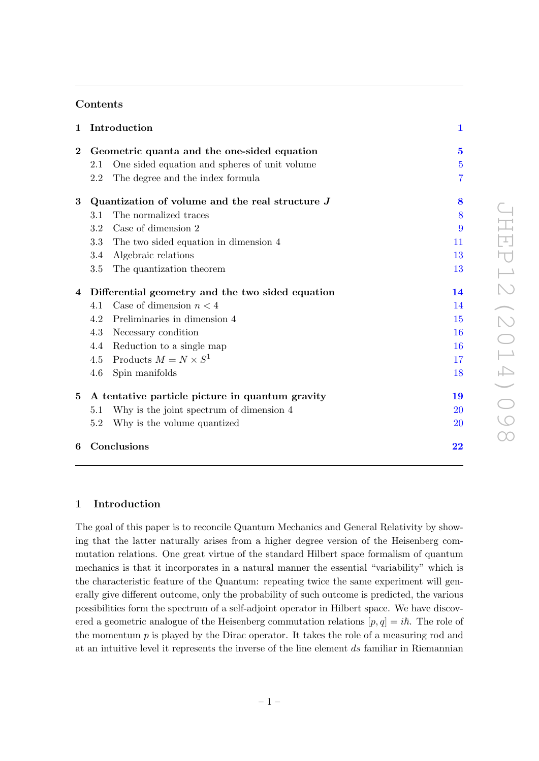# Contents

| Introduction                                     |                                               | $\mathbf{1}$                                                                                                                                        |
|--------------------------------------------------|-----------------------------------------------|-----------------------------------------------------------------------------------------------------------------------------------------------------|
|                                                  |                                               | $\bf{5}$                                                                                                                                            |
| 2.1                                              | One sided equation and spheres of unit volume | $\overline{5}$                                                                                                                                      |
| 2.2                                              | The degree and the index formula              | $\overline{7}$                                                                                                                                      |
|                                                  |                                               | 8                                                                                                                                                   |
| 3.1                                              | The normalized traces                         | 8                                                                                                                                                   |
| 3.2                                              | Case of dimension 2                           | 9                                                                                                                                                   |
| 3.3                                              | The two sided equation in dimension 4         | 11                                                                                                                                                  |
| 3.4                                              | Algebraic relations                           | 13                                                                                                                                                  |
| 3.5                                              | The quantization theorem                      | 13                                                                                                                                                  |
| Differential geometry and the two sided equation |                                               | 14                                                                                                                                                  |
| 4.1                                              | Case of dimension $n < 4$                     | 14                                                                                                                                                  |
| 4.2                                              | Preliminaries in dimension 4                  | 15                                                                                                                                                  |
| 4.3                                              | Necessary condition                           | 16                                                                                                                                                  |
| 4.4                                              | Reduction to a single map                     | 16                                                                                                                                                  |
| 4.5                                              | Products $M = N \times S^1$                   | 17                                                                                                                                                  |
| 4.6                                              | Spin manifolds                                | 18                                                                                                                                                  |
|                                                  |                                               | 19                                                                                                                                                  |
| 5.1                                              | Why is the joint spectrum of dimension 4      | 20                                                                                                                                                  |
| 5.2                                              | Why is the volume quantized                   | 20                                                                                                                                                  |
| Conclusions<br>6                                 |                                               | 22                                                                                                                                                  |
|                                                  |                                               | Geometric quanta and the one-sided equation<br>Quantization of volume and the real structure $J$<br>A tentative particle picture in quantum gravity |

## <span id="page-1-0"></span>1 Introduction

The goal of this paper is to reconcile Quantum Mechanics and General Relativity by showing that the latter naturally arises from a higher degree version of the Heisenberg commutation relations. One great virtue of the standard Hilbert space formalism of quantum mechanics is that it incorporates in a natural manner the essential "variability" which is the characteristic feature of the Quantum: repeating twice the same experiment will generally give different outcome, only the probability of such outcome is predicted, the various possibilities form the spectrum of a self-adjoint operator in Hilbert space. We have discovered a geometric analogue of the Heisenberg commutation relations  $[p, q] = i\hbar$ . The role of the momentum  $p$  is played by the Dirac operator. It takes the role of a measuring rod and at an intuitive level it represents the inverse of the line element ds familiar in Riemannian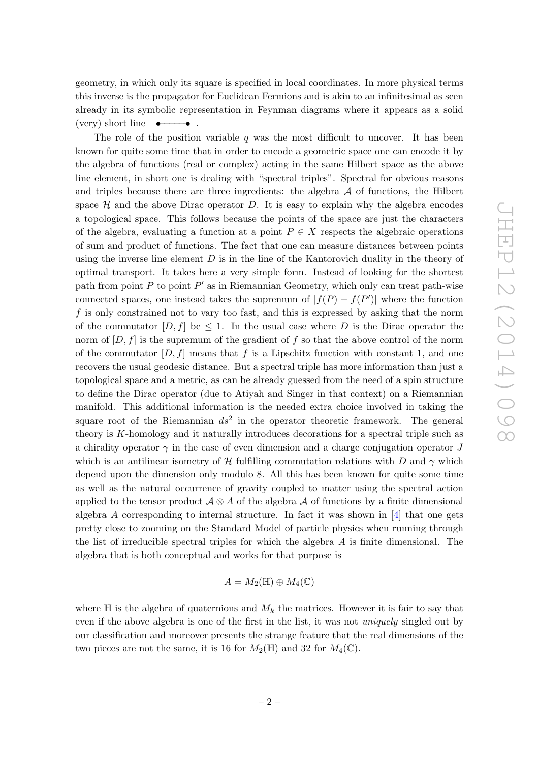geometry, in which only its square is specified in local coordinates. In more physical terms this inverse is the propagator for Euclidean Fermions and is akin to an infinitesimal as seen already in its symbolic representation in Feynman diagrams where it appears as a solid  $(\text{very}) \text{ short line } \bullet \rightarrow \bullet$ .

The role of the position variable  $q$  was the most difficult to uncover. It has been known for quite some time that in order to encode a geometric space one can encode it by the algebra of functions (real or complex) acting in the same Hilbert space as the above line element, in short one is dealing with "spectral triples". Spectral for obvious reasons and triples because there are three ingredients: the algebra  $A$  of functions, the Hilbert space  $H$  and the above Dirac operator D. It is easy to explain why the algebra encodes a topological space. This follows because the points of the space are just the characters of the algebra, evaluating a function at a point  $P \in X$  respects the algebraic operations of sum and product of functions. The fact that one can measure distances between points using the inverse line element  $D$  is in the line of the Kantorovich duality in the theory of optimal transport. It takes here a very simple form. Instead of looking for the shortest path from point  $P$  to point  $P'$  as in Riemannian Geometry, which only can treat path-wise connected spaces, one instead takes the supremum of  $|f(P) - f(P')|$  where the function f is only constrained not to vary too fast, and this is expressed by asking that the norm of the commutator  $[D, f]$  be  $\leq 1$ . In the usual case where D is the Dirac operator the norm of  $[D, f]$  is the supremum of the gradient of f so that the above control of the norm of the commutator  $[D, f]$  means that f is a Lipschitz function with constant 1, and one recovers the usual geodesic distance. But a spectral triple has more information than just a topological space and a metric, as can be already guessed from the need of a spin structure to define the Dirac operator (due to Atiyah and Singer in that context) on a Riemannian manifold. This additional information is the needed extra choice involved in taking the square root of the Riemannian  $ds^2$  in the operator theoretic framework. The general theory is K-homology and it naturally introduces decorations for a spectral triple such as a chirality operator  $\gamma$  in the case of even dimension and a charge conjugation operator J which is an antilinear isometry of H fulfilling commutation relations with D and  $\gamma$  which depend upon the dimension only modulo 8. All this has been known for quite some time as well as the natural occurrence of gravity coupled to matter using the spectral action applied to the tensor product  $\mathcal{A} \otimes \mathcal{A}$  of the algebra  $\mathcal{A}$  of functions by a finite dimensional algebra  $A$  corresponding to internal structure. In fact it was shown in  $[4]$  that one gets pretty close to zooming on the Standard Model of particle physics when running through the list of irreducible spectral triples for which the algebra  $A$  is finite dimensional. The algebra that is both conceptual and works for that purpose is

$$
A = M_2(\mathbb{H}) \oplus M_4(\mathbb{C})
$$

where  $\mathbb H$  is the algebra of quaternions and  $M_k$  the matrices. However it is fair to say that even if the above algebra is one of the first in the list, it was not uniquely singled out by our classification and moreover presents the strange feature that the real dimensions of the two pieces are not the same, it is 16 for  $M_2(\mathbb{H})$  and 32 for  $M_4(\mathbb{C})$ .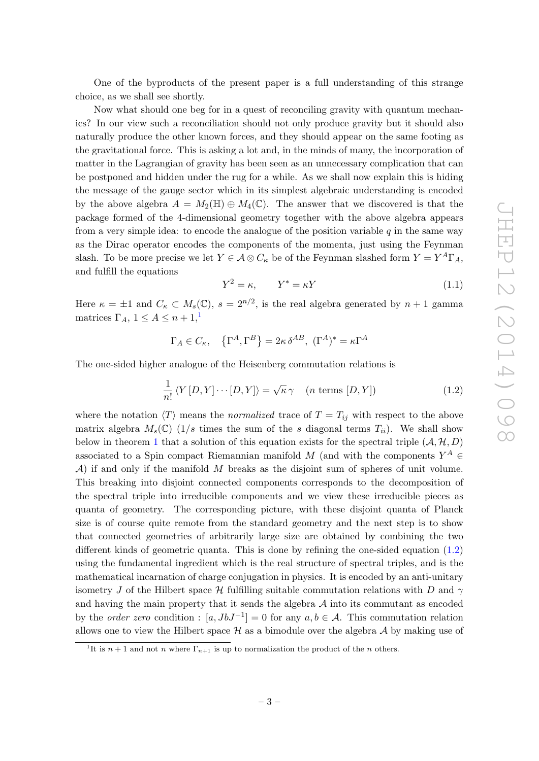One of the byproducts of the present paper is a full understanding of this strange choice, as we shall see shortly.

Now what should one beg for in a quest of reconciling gravity with quantum mechanics? In our view such a reconciliation should not only produce gravity but it should also naturally produce the other known forces, and they should appear on the same footing as the gravitational force. This is asking a lot and, in the minds of many, the incorporation of matter in the Lagrangian of gravity has been seen as an unnecessary complication that can be postponed and hidden under the rug for a while. As we shall now explain this is hiding the message of the gauge sector which in its simplest algebraic understanding is encoded by the above algebra  $A = M_2(\mathbb{H}) \oplus M_4(\mathbb{C})$ . The answer that we discovered is that the package formed of the 4-dimensional geometry together with the above algebra appears from a very simple idea: to encode the analogue of the position variable  $q$  in the same way as the Dirac operator encodes the components of the momenta, just using the Feynman slash. To be more precise we let  $Y \in \mathcal{A} \otimes C_{\kappa}$  be of the Feynman slashed form  $Y = Y^A \Gamma_A$ , and fulfill the equations

<span id="page-3-2"></span>
$$
Y^2 = \kappa, \qquad Y^* = \kappa Y \tag{1.1}
$$

Here  $\kappa = \pm 1$  and  $C_{\kappa} \subset M_s(\mathbb{C}), s = 2^{n/2}$ , is the real algebra generated by  $n+1$  gamma matrices  $\Gamma_A$ ,  $1 \leq A \leq n+1,$  $1 \leq A \leq n+1,$ <sup>1</sup>

$$
\Gamma_A \in C_{\kappa}, \quad {\left\{\Gamma^A, \Gamma^B\right\}} = 2\kappa \, \delta^{AB}, \; (\Gamma^A)^* = \kappa \Gamma^A
$$

The one-sided higher analogue of the Heisenberg commutation relations is

<span id="page-3-1"></span>
$$
\frac{1}{n!} \langle Y[D, Y] \cdots [D, Y] \rangle = \sqrt{\kappa} \gamma \quad (n \text{ terms } [D, Y])
$$
\n(1.2)

where the notation  $\langle T \rangle$  means the normalized trace of  $T = T_{ij}$  with respect to the above matrix algebra  $M_s(\mathbb{C})$  (1/s times the sum of the s diagonal terms  $T_{ii}$ ). We shall show below in theorem [1](#page-5-2) that a solution of this equation exists for the spectral triple  $(A, \mathcal{H}, D)$ associated to a Spin compact Riemannian manifold M (and with the components  $Y^A$  $\mathcal{A}$ ) if and only if the manifold M breaks as the disjoint sum of spheres of unit volume. This breaking into disjoint connected components corresponds to the decomposition of the spectral triple into irreducible components and we view these irreducible pieces as quanta of geometry. The corresponding picture, with these disjoint quanta of Planck size is of course quite remote from the standard geometry and the next step is to show that connected geometries of arbitrarily large size are obtained by combining the two different kinds of geometric quanta. This is done by refining the one-sided equation [\(1.2\)](#page-3-1) using the fundamental ingredient which is the real structure of spectral triples, and is the mathematical incarnation of charge conjugation in physics. It is encoded by an anti-unitary isometry J of the Hilbert space H fulfilling suitable commutation relations with D and  $\gamma$ and having the main property that it sends the algebra  $A$  into its commutant as encoded by the *order zero* condition :  $[a, JbJ^{-1}] = 0$  for any  $a, b \in A$ . This commutation relation allows one to view the Hilbert space  $\mathcal H$  as a bimodule over the algebra  $\mathcal A$  by making use of

<span id="page-3-0"></span><sup>&</sup>lt;sup>1</sup>It is  $n+1$  and not n where  $\Gamma_{n+1}$  is up to normalization the product of the n others.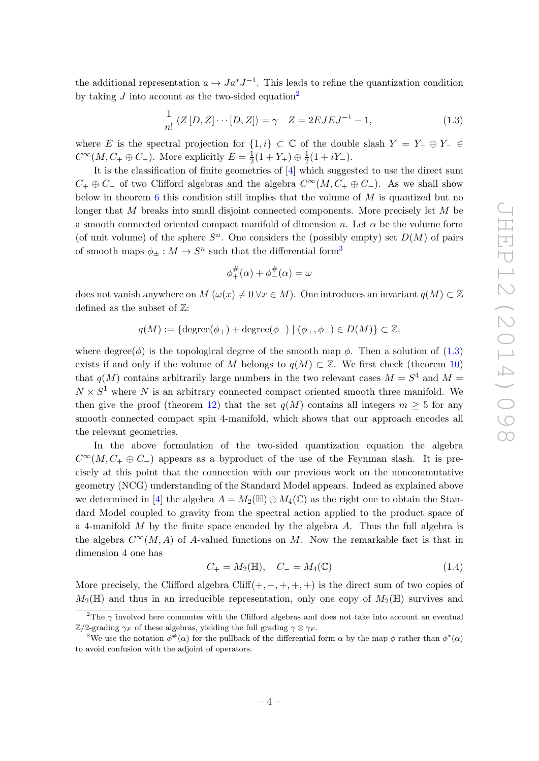the additional representation  $a \mapsto Ja^*J^{-1}$ . This leads to refine the quantization condition by taking  $J$  into account as the two-sided equation<sup>[2](#page-4-0)</sup>

<span id="page-4-2"></span>
$$
\frac{1}{n!} \langle Z[D, Z] \cdots [D, Z] \rangle = \gamma \quad Z = 2EJEJ^{-1} - 1,\tag{1.3}
$$

where E is the spectral projection for  $\{1,i\} \subset \mathbb{C}$  of the double slash  $Y = Y_+ \oplus Y_- \in$  $C^{\infty}(M, C_{+} \oplus C_{-})$ . More explicitly  $E = \frac{1}{2}$  $\frac{1}{2}(1+Y_+) \oplus \frac{1}{2}$  $rac{1}{2}(1+iY_{-}).$ 

It is the classification of finite geometries of [\[4\]](#page-23-0) which suggested to use the direct sum  $C_+ \oplus C_-$  of two Clifford algebras and the algebra  $C^{\infty}(M, C_+ \oplus C_-)$ . As we shall show below in theorem  $6$  this condition still implies that the volume of  $M$  is quantized but no longer that M breaks into small disjoint connected components. More precisely let M be a smooth connected oriented compact manifold of dimension n. Let  $\alpha$  be the volume form (of unit volume) of the sphere  $S<sup>n</sup>$ . One considers the (possibly empty) set  $D(M)$  of pairs of smooth maps  $\phi_{\pm}: M \to S^n$  such that the differential form<sup>[3](#page-4-1)</sup>

$$
\phi_+^{\#}(\alpha) + \phi_-^{\#}(\alpha) = \omega
$$

does not vanish anywhere on  $M(\omega(x) \neq 0 \forall x \in M)$ . One introduces an invariant  $q(M) \subset \mathbb{Z}$ defined as the subset of  $\mathbb Z:$ 

$$
q(M) := \{ \text{degree}(\phi_+) + \text{degree}(\phi_-) \mid (\phi_+, \phi_-) \in D(M) \} \subset \mathbb{Z}.
$$

where degree( $\phi$ ) is the topological degree of the smooth map  $\phi$ . Then a solution of [\(1.3\)](#page-4-2) exists if and only if the volume of M belongs to  $q(M) \subset \mathbb{Z}$ . We first check (theorem [10\)](#page-17-1) that  $q(M)$  contains arbitrarily large numbers in the two relevant cases  $M = S<sup>4</sup>$  and  $M =$  $N \times S<sup>1</sup>$  where N is an arbitrary connected compact oriented smooth three manifold. We then give the proof (theorem [12\)](#page-18-1) that the set  $q(M)$  contains all integers  $m > 5$  for any smooth connected compact spin 4-manifold, which shows that our approach encodes all the relevant geometries.

In the above formulation of the two-sided quantization equation the algebra  $C^{\infty}(M, C_{+} \oplus C_{-})$  appears as a byproduct of the use of the Feynman slash. It is precisely at this point that the connection with our previous work on the noncommutative geometry (NCG) understanding of the Standard Model appears. Indeed as explained above we determined in [\[4\]](#page-23-0) the algebra  $A = M_2(\mathbb{H}) \oplus M_4(\mathbb{C})$  as the right one to obtain the Standard Model coupled to gravity from the spectral action applied to the product space of a 4-manifold  $M$  by the finite space encoded by the algebra  $A$ . Thus the full algebra is the algebra  $C^{\infty}(M, A)$  of A-valued functions on M. Now the remarkable fact is that in dimension 4 one has

$$
C_{+} = M_{2}(\mathbb{H}), \quad C_{-} = M_{4}(\mathbb{C}) \tag{1.4}
$$

More precisely, the Clifford algebra  $Cliff(+, +, +, +, +)$  is the direct sum of two copies of  $M_2(\mathbb{H})$  and thus in an irreducible representation, only one copy of  $M_2(\mathbb{H})$  survives and

<span id="page-4-0"></span><sup>&</sup>lt;sup>2</sup>The  $\gamma$  involved here commutes with the Clifford algebras and does not take into account an eventual  $\mathbb{Z}/2$ -grading  $\gamma_F$  of these algebras, yielding the full grading  $\gamma \otimes \gamma_F$ .

<span id="page-4-1"></span><sup>&</sup>lt;sup>3</sup>We use the notation  $\phi^*(\alpha)$  for the pullback of the differential form  $\alpha$  by the map  $\phi$  rather than  $\phi^*(\alpha)$ to avoid confusion with the adjoint of operators.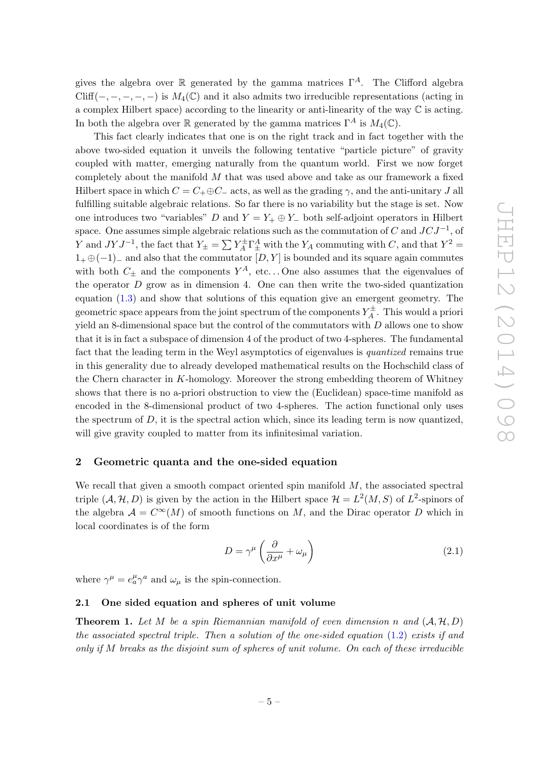gives the algebra over R generated by the gamma matrices  $\Gamma^A$ . The Clifford algebra Cliff(-, -, -, -, -) is  $M_4(\mathbb{C})$  and it also admits two irreducible representations (acting in a complex Hilbert space) according to the linearity or anti-linearity of the way  $\mathbb C$  is acting. In both the algebra over R generated by the gamma matrices  $\Gamma^A$  is  $M_4(\mathbb{C})$ .

This fact clearly indicates that one is on the right track and in fact together with the above two-sided equation it unveils the following tentative "particle picture" of gravity coupled with matter, emerging naturally from the quantum world. First we now forget completely about the manifold M that was used above and take as our framework a fixed Hilbert space in which  $C = C_+ \oplus C_-$  acts, as well as the grading  $\gamma$ , and the anti-unitary J all fulfilling suitable algebraic relations. So far there is no variability but the stage is set. Now one introduces two "variables" D and  $Y = Y_+ \oplus Y_-$  both self-adjoint operators in Hilbert space. One assumes simple algebraic relations such as the commutation of C and  $JCJ^{-1}$ , of Y and  $JYJ^{-1}$ , the fact that  $Y_{\pm} = \sum Y_A^{\pm}$  $X_A^{\pm} \Gamma_{\pm}^A$  with the  $Y_A$  commuting with C, and that  $Y^2 =$  $1_+ \oplus (-1)_-$  and also that the commutator  $[D, Y]$  is bounded and its square again commutes with both  $C_{\pm}$  and the components  $Y^{A}$ , etc... One also assumes that the eigenvalues of the operator  $D$  grow as in dimension 4. One can then write the two-sided quantization equation [\(1.3\)](#page-4-2) and show that solutions of this equation give an emergent geometry. The geometric space appears from the joint spectrum of the components  $Y_A^{\pm}$  $\chi^{\pm}_{A}$ . This would a priori yield an 8-dimensional space but the control of the commutators with  $D$  allows one to show that it is in fact a subspace of dimension 4 of the product of two 4-spheres. The fundamental fact that the leading term in the Weyl asymptotics of eigenvalues is quantized remains true in this generality due to already developed mathematical results on the Hochschild class of the Chern character in K-homology. Moreover the strong embedding theorem of Whitney shows that there is no a-priori obstruction to view the (Euclidean) space-time manifold as encoded in the 8-dimensional product of two 4-spheres. The action functional only uses the spectrum of  $D$ , it is the spectral action which, since its leading term is now quantized, will give gravity coupled to matter from its infinitesimal variation.

#### <span id="page-5-0"></span>2 Geometric quanta and the one-sided equation

We recall that given a smooth compact oriented spin manifold  $M$ , the associated spectral triple  $(A, \mathcal{H}, D)$  is given by the action in the Hilbert space  $\mathcal{H} = L^2(M, S)$  of  $L^2$ -spinors of the algebra  $A = C^{\infty}(M)$  of smooth functions on M, and the Dirac operator D which in local coordinates is of the form

$$
D = \gamma^{\mu} \left( \frac{\partial}{\partial x^{\mu}} + \omega_{\mu} \right) \tag{2.1}
$$

where  $\gamma^{\mu} = e^{\mu}_{a} \gamma^{a}$  and  $\omega_{\mu}$  is the spin-connection.

#### <span id="page-5-1"></span>2.1 One sided equation and spheres of unit volume

<span id="page-5-2"></span>**Theorem 1.** Let M be a spin Riemannian manifold of even dimension n and  $(A, H, D)$ the associated spectral triple. Then a solution of the one-sided equation  $(1.2)$  exists if and only if M breaks as the disjoint sum of spheres of unit volume. On each of these irreducible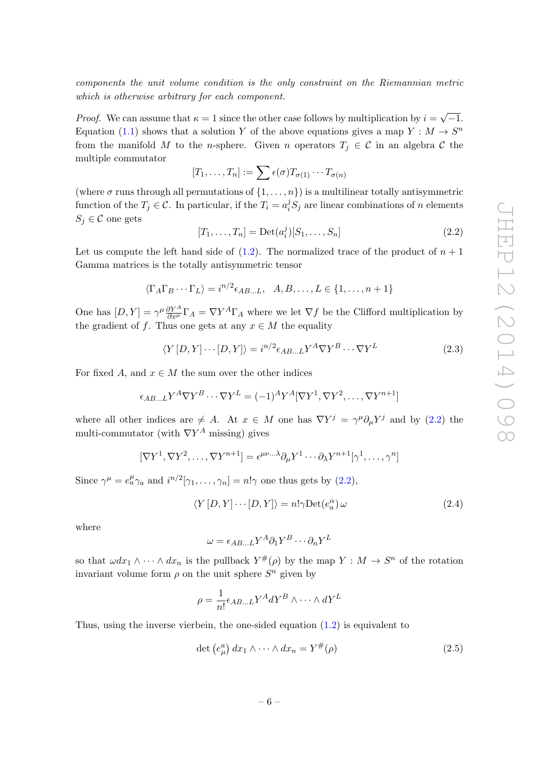components the unit volume condition is the only constraint on the Riemannian metric which is otherwise arbitrary for each component.

*Proof.* We can assume that  $\kappa = 1$  since the other case follows by multiplication by  $i =$ √  $^{\prime}-1.$ Equation [\(1.1\)](#page-3-2) shows that a solution Y of the above equations gives a map  $Y : M \to S^n$ from the manifold M to the n-sphere. Given n operators  $T_j \in \mathcal{C}$  in an algebra C the multiple commutator

$$
[T_1,\ldots,T_n] := \sum \epsilon(\sigma) T_{\sigma(1)} \cdots T_{\sigma(n)}
$$

(where  $\sigma$  runs through all permutations of  $\{1, \ldots, n\}$ ) is a multilinear totally antisymmetric function of the  $T_j \in \mathcal{C}$ . In particular, if the  $T_i = a_i^j S_j$  are linear combinations of n elements  $S_i \in \mathcal{C}$  one gets

<span id="page-6-0"></span>
$$
[T_1, ..., T_n] = \text{Det}(a_i^j)[S_1, ..., S_n]
$$
 (2.2)

Let us compute the left hand side of  $(1.2)$ . The normalized trace of the product of  $n + 1$ Gamma matrices is the totally antisymmetric tensor

$$
\langle \Gamma_A \Gamma_B \cdots \Gamma_L \rangle = i^{n/2} \epsilon_{AB...L}, \quad A, B, \dots, L \in \{1, \dots, n+1\}
$$

One has  $[D, Y] = \gamma^{\mu} \frac{\partial Y^A}{\partial x^{\mu}} \Gamma_A = \nabla Y^A \Gamma_A$  where we let  $\nabla f$  be the Clifford multiplication by the gradient of f. Thus one gets at any  $x \in M$  the equality

$$
\langle Y[D, Y] \cdots [D, Y] \rangle = i^{n/2} \epsilon_{AB...L} Y^A \nabla Y^B \cdots \nabla Y^L
$$
\n(2.3)

For fixed A, and  $x \in M$  the sum over the other indices

$$
\epsilon_{AB...L} Y^A \nabla Y^B \cdots \nabla Y^L = (-1)^A Y^A [\nabla Y^1, \nabla Y^2, \dots, \nabla Y^{n+1}]
$$

where all other indices are  $\neq A$ . At  $x \in M$  one has  $\nabla Y^j = \gamma^\mu \partial_\mu Y^j$  and by [\(2.2\)](#page-6-0) the multi-commutator (with  $\nabla Y^A$  missing) gives

$$
[\nabla Y^1, \nabla Y^2, \dots, \nabla Y^{n+1}] = \epsilon^{\mu\nu\ldots\lambda} \partial_\mu Y^1 \cdots \partial_\lambda Y^{n+1} [\gamma^1, \ldots, \gamma^n]
$$

Since  $\gamma^{\mu} = e^{\mu}_{a} \gamma_{a}$  and  $i^{n/2}[\gamma_{1}, \ldots, \gamma_{n}] = n! \gamma$  one thus gets by [\(2.2\)](#page-6-0),

<span id="page-6-2"></span>
$$
\langle Y[D, Y] \cdots [D, Y] \rangle = n! \gamma \text{Det}(e_a^{\alpha}) \omega \tag{2.4}
$$

where

$$
\omega = \epsilon_{AB...L} Y^A \partial_1 Y^B \cdots \partial_n Y^L
$$

so that  $\omega dx_1 \wedge \cdots \wedge dx_n$  is the pullback  $Y^{\#}(\rho)$  by the map  $Y : M \to S^n$  of the rotation invariant volume form  $\rho$  on the unit sphere  $S<sup>n</sup>$  given by

$$
\rho = \frac{1}{n!} \epsilon_{AB...L} Y^A dY^B \wedge \cdots \wedge dY^L
$$

Thus, using the inverse vierbein, the one-sided equation  $(1.2)$  is equivalent to

<span id="page-6-1"></span>
$$
\det\left(e_{\mu}^{a}\right)dx_{1}\wedge\cdots\wedge dx_{n}=Y^{\#}(\rho)\tag{2.5}
$$

$$
-6-
$$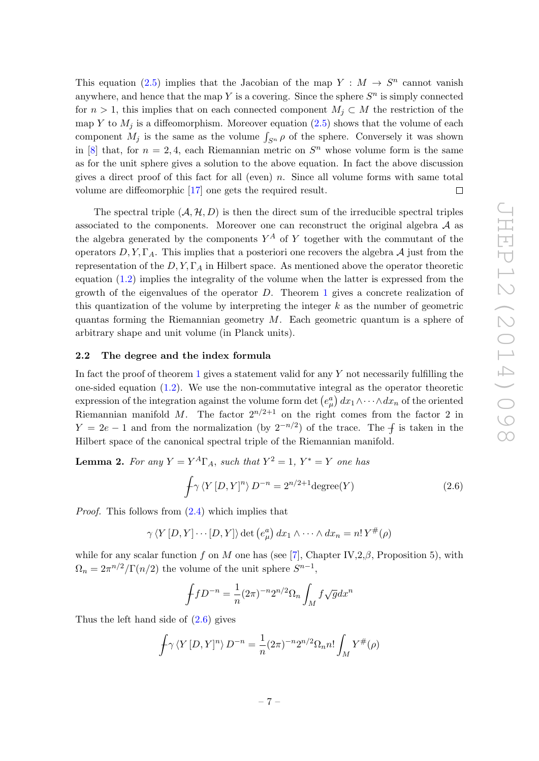This equation [\(2.5\)](#page-6-1) implies that the Jacobian of the map  $Y : M \to S^n$  cannot vanish anywhere, and hence that the map Y is a covering. Since the sphere  $S<sup>n</sup>$  is simply connected for  $n > 1$ , this implies that on each connected component  $M_i \subset M$  the restriction of the map Y to  $M_i$  is a diffeomorphism. Moreover equation [\(2.5\)](#page-6-1) shows that the volume of each component  $M_j$  is the same as the volume  $\int_{S^n} \rho$  of the sphere. Conversely it was shown in [\[8\]](#page-23-1) that, for  $n = 2, 4$ , each Riemannian metric on  $S<sup>n</sup>$  whose volume form is the same as for the unit sphere gives a solution to the above equation. In fact the above discussion gives a direct proof of this fact for all (even) n. Since all volume forms with same total volume are diffeomorphic [\[17\]](#page-24-0) one gets the required result.  $\Box$ 

The spectral triple  $(A, \mathcal{H}, D)$  is then the direct sum of the irreducible spectral triples associated to the components. Moreover one can reconstruct the original algebra  $A$  as the algebra generated by the components  $Y^A$  of Y together with the commutant of the operators  $D, Y, \Gamma_A$ . This implies that a posteriori one recovers the algebra A just from the representation of the  $D, Y, \Gamma_A$  in Hilbert space. As mentioned above the operator theoretic equation [\(1.2\)](#page-3-1) implies the integrality of the volume when the latter is expressed from the growth of the eigenvalues of the operator  $D$ . Theorem [1](#page-5-2) gives a concrete realization of this quantization of the volume by interpreting the integer  $k$  as the number of geometric quantas forming the Riemannian geometry  $M$ . Each geometric quantum is a sphere of arbitrary shape and unit volume (in Planck units).

## <span id="page-7-0"></span>2.2 The degree and the index formula

In fact the proof of theorem [1](#page-5-2) gives a statement valid for any Y not necessarily fulfilling the one-sided equation  $(1.2)$ . We use the non-commutative integral as the operator theoretic expression of the integration against the volume form det  $(e^a_\mu) dx_1 \wedge \cdots \wedge dx_n$  of the oriented Riemannian manifold M. The factor  $2^{n/2+1}$  on the right comes from the factor 2 in  $Y = 2e - 1$  and from the normalization (by  $2^{-n/2}$ ) of the trace. The  $\oint$  is taken in the Hilbert space of the canonical spectral triple of the Riemannian manifold.

<span id="page-7-2"></span>**Lemma 2.** For any  $Y = Y^A \Gamma_A$ , such that  $Y^2 = 1$ ,  $Y^* = Y$  one has

<span id="page-7-1"></span>
$$
\oint \gamma \langle Y[D, Y]^n \rangle D^{-n} = 2^{n/2+1} \text{degree}(Y) \tag{2.6}
$$

Proof. This follows from [\(2.4\)](#page-6-2) which implies that

 $\gamma \langle Y[D, Y] \cdots [D, Y] \rangle \det \left( e_{\mu}^{a} \right) dx_{1} \wedge \cdots \wedge dx_{n} = n! Y^{\#}(\rho)$ 

while for any scalar function f on M one has (see [\[7\]](#page-23-2), Chapter IV, 2,  $\beta$ , Proposition 5), with  $\Omega_n = 2\pi^{n/2}/\Gamma(n/2)$  the volume of the unit sphere  $S^{n-1}$ ,

$$
\int fD^{-n} = \frac{1}{n}(2\pi)^{-n}2^{n/2}\Omega_n \int_M f\sqrt{g}dx^n
$$

Thus the left hand side of  $(2.6)$  gives

$$
\int \gamma \left\langle Y[D,Y]^n \right\rangle D^{-n} = \frac{1}{n} (2\pi)^{-n} 2^{n/2} \Omega_n n! \int_M Y^{\#}(\rho)
$$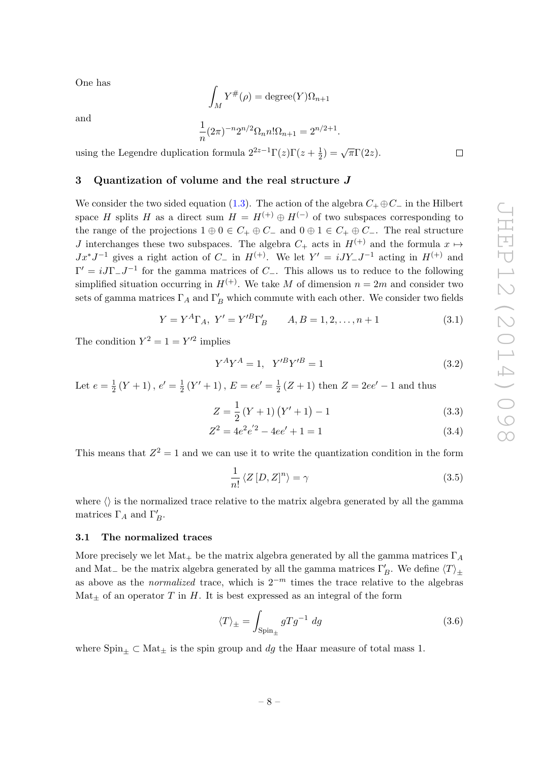$\Box$ 

One has

$$
\int_M Y^\#(\rho) = \text{degree}(Y)\Omega_{n+1}
$$

and

$$
\frac{1}{n}(2\pi)^{-n}2^{n/2}\Omega_n n! \Omega_{n+1} = 2^{n/2+1}.
$$

using the Legendre duplication formula  $2^{2z-1}\Gamma(z)\Gamma(z+\frac{1}{2})$  $\frac{1}{2}) = \sqrt{\pi} \Gamma(2z).$ 

## <span id="page-8-0"></span>3 Quantization of volume and the real structure J

We consider the two sided equation [\(1.3\)](#page-4-2). The action of the algebra  $C_+ \oplus C_-$  in the Hilbert space H splits H as a direct sum  $H = H^{(+)} \oplus H^{(-)}$  of two subspaces corresponding to the range of the projections  $1 \oplus 0 \in C_+ \oplus C_-$  and  $0 \oplus 1 \in C_+ \oplus C_-$ . The real structure J interchanges these two subspaces. The algebra  $C_+$  acts in  $H^{(+)}$  and the formula  $x \mapsto$  $Jx^*J^{-1}$  gives a right action of  $C_-\$  in  $H^{(+)}$ . We let  $Y' = iJY_-J^{-1}$  acting in  $H^{(+)}$  and  $\Gamma' = iJ\Gamma_{-}J^{-1}$  for the gamma matrices of  $C_{-}$ . This allows us to reduce to the following simplified situation occurring in  $H^{(+)}$ . We take M of dimension  $n = 2m$  and consider two sets of gamma matrices  $\Gamma_A$  and  $\Gamma_B'$  which commute with each other. We consider two fields

$$
Y = Y^{A} \Gamma_{A}, \ Y' = Y'^{B} \Gamma'_{B} \qquad A, B = 1, 2, \dots, n+1 \tag{3.1}
$$

The condition  $Y^2 = 1 = Y'^2$  implies

$$
Y^A Y^A = 1, \ Y'^B Y'^B = 1 \tag{3.2}
$$

Let  $e=\frac{1}{2}$  $\frac{1}{2}(Y+1), e' = \frac{1}{2}$  $\frac{1}{2}(Y'+1), E = ee' = \frac{1}{2}$  $\frac{1}{2}(Z+1)$  then  $Z = 2ee' - 1$  and thus

$$
Z = \frac{1}{2} (Y + 1) (Y' + 1) - 1
$$
\n(3.3)

$$
Z^2 = 4e^2e^{'2} - 4ee' + 1 = 1
$$
\n(3.4)

This means that  $Z^2 = 1$  and we can use it to write the quantization condition in the form

<span id="page-8-3"></span>
$$
\frac{1}{n!} \langle Z[D, Z]^n \rangle = \gamma \tag{3.5}
$$

where  $\langle \rangle$  is the normalized trace relative to the matrix algebra generated by all the gamma matrices  $\Gamma_A$  and  $\Gamma'_B$ .

#### <span id="page-8-1"></span>3.1 The normalized traces

More precisely we let  $\text{Mat}_+$  be the matrix algebra generated by all the gamma matrices  $\Gamma_A$ and Mat<sub>−</sub> be the matrix algebra generated by all the gamma matrices  $\Gamma'_B$ . We define  $\langle T \rangle_{\pm}$ as above as the *normalized* trace, which is  $2^{-m}$  times the trace relative to the algebras  $\text{Mat}_{+}$  of an operator T in H. It is best expressed as an integral of the form

<span id="page-8-2"></span>
$$
\langle T \rangle_{\pm} = \int_{\text{Spin}_{\pm}} gTg^{-1} \, dg \tag{3.6}
$$

<span id="page-8-4"></span>where  $Spin_{+} \subset Mat_{+}$  is the spin group and dq the Haar measure of total mass 1.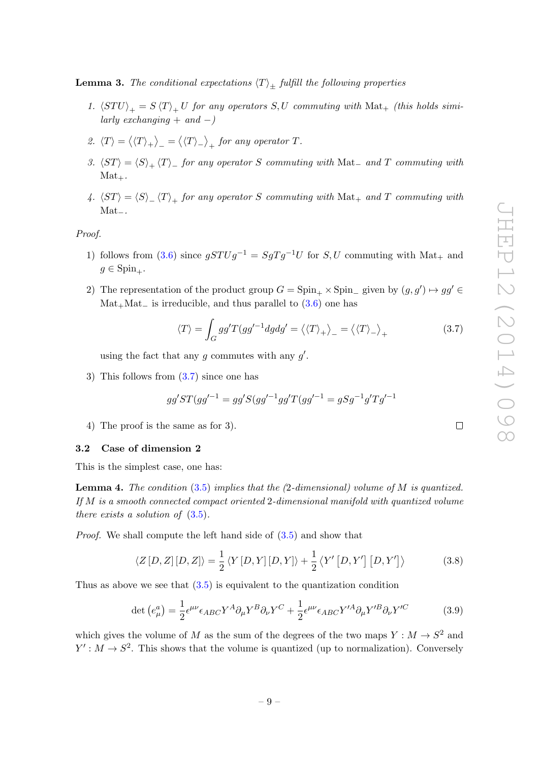**Lemma 3.** The conditional expectations  $\langle T \rangle_{\pm}$  fulfill the following properties

- 1.  $\langle STU\rangle_+ = S \langle T\rangle_+ U$  for any operators S, U commuting with Mat<sub>+</sub> (this holds similarly exchanging  $+$  and  $-)$
- 2.  $\langle T \rangle = \langle \langle T \rangle_+ \rangle_- = \langle \langle T \rangle_- \rangle_+$  for any operator T.
- 3.  $\langle ST \rangle = \langle S \rangle_+ \langle T \rangle_-$  for any operator S commuting with Mat<sub>−</sub> and T commuting with  $Mat_{+}.$
- 4.  $\langle ST \rangle = \langle S \rangle$   $\langle T \rangle$  for any operator S commuting with Mat<sub>+</sub> and T commuting with Mat−.

Proof.

- 1) follows from [\(3.6\)](#page-8-2) since  $gSTUg^{-1} = SgTg^{-1}U$  for  $S, U$  commuting with Mat<sub>+</sub> and  $g \in \text{Spin}_{+}$ .
- 2) The representation of the product group  $G = \text{Spin}_{+} \times \text{Spin}_{-}$  given by  $(g, g') \mapsto gg' \in$  $Mat_+Mat_-$  is irreducible, and thus parallel to  $(3.6)$  one has

<span id="page-9-1"></span>
$$
\langle T \rangle = \int_G gg' T(gg'^{-1} dg dg' = \langle \langle T \rangle_+ \rangle_- = \langle \langle T \rangle_- \rangle_+ \tag{3.7}
$$

using the fact that any  $g$  commutes with any  $g'$ .

3) This follows from [\(3.7\)](#page-9-1) since one has

$$
gg'ST(gg'^{-1} = gg'S(gg'^{-1}gg'T(gg'^{-1} = gSg^{-1}g'Tg'^{-1})
$$

4) The proof is the same as for 3).

#### <span id="page-9-0"></span>3.2 Case of dimension 2

This is the simplest case, one has:

**Lemma 4.** The condition  $(3.5)$  implies that the  $(2$ -dimensional) volume of M is quantized. If M is a smooth connected compact oriented 2-dimensional manifold with quantized volume there exists a solution of  $(3.5)$ .

Proof. We shall compute the left hand side of [\(3.5\)](#page-8-3) and show that

<span id="page-9-3"></span>
$$
\langle Z[D,Z][D,Z] \rangle = \frac{1}{2} \langle Y[D,Y][D,Y] \rangle + \frac{1}{2} \langle Y'[D,Y'] [D,Y'] \rangle \tag{3.8}
$$

Thus as above we see that  $(3.5)$  is equivalent to the quantization condition

<span id="page-9-2"></span>
$$
\det\left(e_{\mu}^{a}\right) = \frac{1}{2}\epsilon^{\mu\nu}\epsilon_{ABC}Y^{A}\partial_{\mu}Y^{B}\partial_{\nu}Y^{C} + \frac{1}{2}\epsilon^{\mu\nu}\epsilon_{ABC}Y'^{A}\partial_{\mu}Y'^{B}\partial_{\nu}Y'^{C}
$$
(3.9)

which gives the volume of M as the sum of the degrees of the two maps  $Y : M \to S^2$  and  $Y': M \to S^2$ . This shows that the volume is quantized (up to normalization). Conversely

 $\Box$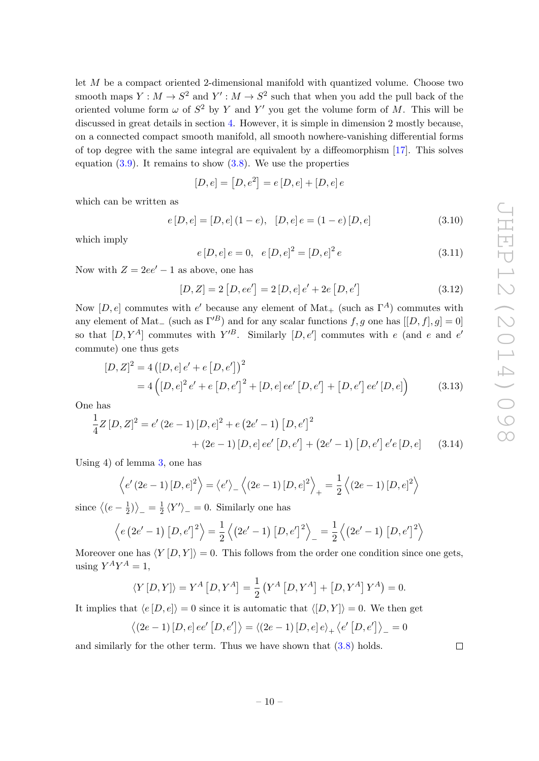let M be a compact oriented 2-dimensional manifold with quantized volume. Choose two smooth maps  $Y: M \to S^2$  and  $Y': M \to S^2$  such that when you add the pull back of the oriented volume form  $\omega$  of  $S^2$  by Y and Y' you get the volume form of M. This will be discussed in great details in section [4.](#page-14-0) However, it is simple in dimension 2 mostly because, on a connected compact smooth manifold, all smooth nowhere-vanishing differential forms of top degree with the same integral are equivalent by a diffeomorphism [\[17\]](#page-24-0). This solves equation  $(3.9)$ . It remains to show  $(3.8)$ . We use the properties

$$
[D, e] = [D, e^2] = e [D, e] + [D, e] e
$$

which can be written as

<span id="page-10-2"></span>
$$
e[D, e] = [D, e] (1 - e), [D, e] e = (1 - e) [D, e]
$$
\n(3.10)

which imply

<span id="page-10-1"></span>
$$
e[D, e] e = 0, \quad e[D, e]^2 = [D, e]^2 e \tag{3.11}
$$

Now with  $Z = 2ee' - 1$  as above, one has

$$
[D, Z] = 2 [D, ee'] = 2 [D, e] e' + 2e [D, e'] \qquad (3.12)
$$

Now  $[D, e]$  commutes with  $e'$  because any element of Mat<sub>+</sub> (such as  $\Gamma^A$ ) commutes with any element of Mat<sub>−</sub> (such as  $\Gamma^{B}$ ) and for any scalar functions f, g one has  $[[D, f], g] = 0$ ] so that  $[D, Y^A]$  commutes with  $Y^{\prime B}$ . Similarly  $[D, e']$  commutes with e (and e and e' commute) one thus gets

$$
[D, Z]^2 = 4 ([D, e] e' + e [D, e'])^2
$$
  
= 4 ([D, e]^2 e' + e [D, e']^2 + [D, e] ee' [D, e'] + [D, e'] ee' [D, e]) (3.13)

One has

$$
\frac{1}{4}Z[D,Z]^2 = e'(2e-1)[D,e]^2 + e(2e'-1)[D,e']^2
$$
  
+ (2e-1)[D,e]ee'[D,e'] + (2e'-1)[D,e']e'e[D,e] (3.14)

Using 4) of lemma [3,](#page-8-4) one has

$$
\langle e'(2e-1) [D, e]^2 \rangle = \langle e' \rangle_{-} \langle (2e-1) [D, e]^2 \rangle_{+} = \frac{1}{2} \langle (2e-1) [D, e]^2 \rangle
$$

since  $\sqrt{(e-\frac{1}{2})}$  $\frac{1}{2}$   $\rangle$   $\Big| = \frac{1}{2}$  $\frac{1}{2} \langle Y' \rangle = 0$ . Similarly one has

$$
\langle e (2e' - 1) [D, e']^{2} \rangle = \frac{1}{2} \langle (2e' - 1) [D, e']^{2} \rangle_{-} = \frac{1}{2} \langle (2e' - 1) [D, e']^{2} \rangle
$$

Moreover one has  $\langle Y | D, Y \rangle = 0$ . This follows from the order one condition since one gets, using  $Y^A Y^A = 1$ ,

$$
\langle Y[D, Y] \rangle = Y^A [D, Y^A] = \frac{1}{2} (Y^A [D, Y^A] + [D, Y^A] Y^A) = 0.
$$

It implies that  $\langle e[D, e] \rangle = 0$  since it is automatic that  $\langle [D, Y] \rangle = 0$ . We then get

$$
\langle (2e-1) [D, e] ee' [D, e'] \rangle = \langle (2e-1) [D, e] e \rangle_+ \langle e' [D, e'] \rangle_- = 0
$$

and similarly for the other term. Thus we have shown that [\(3.8\)](#page-9-3) holds.

<span id="page-10-0"></span> $\Box$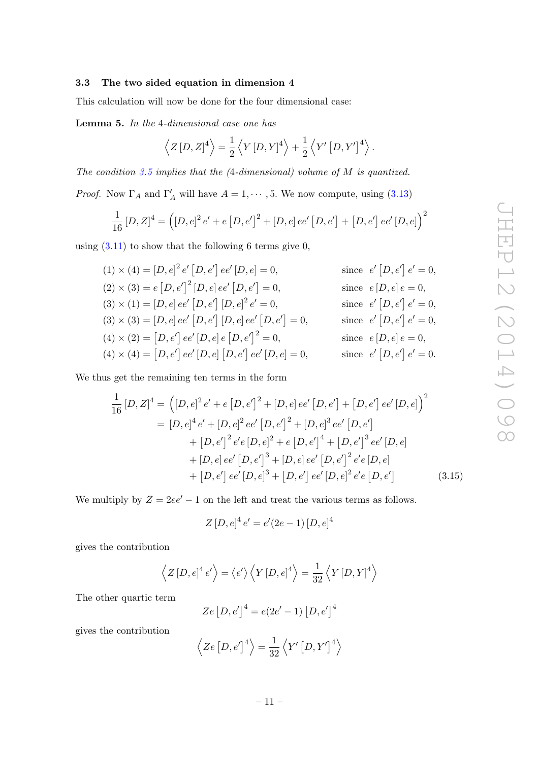## <span id="page-11-0"></span>3.3 The two sided equation in dimension 4

<span id="page-11-1"></span>This calculation will now be done for the four dimensional case:

Lemma 5. In the 4-dimensional case one has

$$
\left\langle Z\left[D,Z\right]^4\right\rangle = \frac{1}{2}\left\langle Y\left[D,Y\right]^4\right\rangle + \frac{1}{2}\left\langle Y'\left[D,Y'\right]^4\right\rangle.
$$

The condition [3.5](#page-8-3) implies that the  $(4$ -dimensional) volume of M is quantized.

*Proof.* Now  $\Gamma_A$  and  $\Gamma'_A$  will have  $A = 1, \dots, 5$ . We now compute, using [\(3.13\)](#page-10-0)

$$
\frac{1}{16}[D,Z]^4 = ([D,e]^2 e' + e [D,e']^2 + [D,e]ee' [D,e'] + [D,e'] ee' [D,e])^2
$$

using  $(3.11)$  to show that the following 6 terms give 0,

 $(1) \times (4) = [D, e]^2 e' [D, e'] ee' [D, e] = 0,$  since e  $\langle [D, e'] | e' = 0,$  $(2) \times (3) = e [D, e']^2 [D, e] ee' [D, e']$ since  $e[D, e]e = 0$ ,  $(3) \times (1) = [D, e] ee' [D, e'] [D, e]^2 e$  $e' = 0,$  since  $e' [D, e'] e' = 0,$  $(3) \times (3) = [D, e]$  ee'  $[D, e']$   $[D, e]$  ee'  $[D, e']$  $= 0,$  since  $e' [D, e'] e' = 0,$  $(4) \times (2) = [D, e']$  ee'  $[D, e]$   $e [D, e']$ since  $e[D, e]e = 0$ ,  $(4) \times (4) = [D, e']$   $ee'[D, e][D, e']$   $ee'[D, e] = 0$ , since e '  $[D, e'] e' = 0.$ 

We thus get the remaining ten terms in the form

$$
\frac{1}{16}[D, Z]^4 = ([D, e]^2 e' + e [D, e']^2 + [D, e] ee' [D, e'] + [D, e'] ee' [D, e])^2
$$
  
\n
$$
= [D, e]^4 e' + [D, e]^2 ee' [D, e']^2 + [D, e]^3 ee' [D, e']
$$
  
\n
$$
+ [D, e']^2 e' e [D, e]^2 + e [D, e']^4 + [D, e']^3 ee' [D, e]
$$
  
\n
$$
+ [D, e] ee' [D, e']^3 + [D, e] ee' [D, e']^2 e' e [D, e]
$$
  
\n
$$
+ [D, e'] ee' [D, e]^3 + [D, e'] ee' [D, e]^2 e' e [D, e'] \qquad (3.15)
$$

We multiply by  $Z = 2ee' - 1$  on the left and treat the various terms as follows.

$$
Z[D,e]^4 e' = e'(2e-1) [D,e]^4
$$

gives the contribution

$$
\left\langle Z[D,e]^4 e' \right\rangle = \left\langle e' \right\rangle \left\langle Y[D,e]^4 \right\rangle = \frac{1}{32} \left\langle Y[D,Y]^4 \right\rangle
$$

The other quartic term

$$
Ze[D,e']^{4} = e(2e' - 1)[D,e']^{4}
$$

gives the contribution

$$
\left\langle Ze\left[D,e'\right]^4\right\rangle = \frac{1}{32} \left\langle Y'\left[D,Y'\right]^4\right\rangle
$$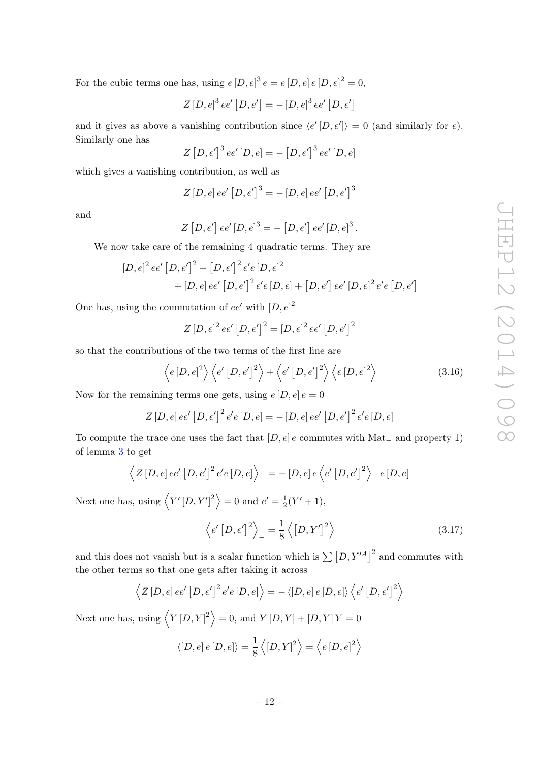For the cubic terms one has, using  $e[D,e]^3 e = e[D,e]e[D,e]^2 = 0$ ,

$$
Z[D,e]^3 ee' [D,e'] = -[D,e]^3 ee' [D,e']
$$

and it gives as above a vanishing contribution since  $\langle e'|D, e'|\rangle = 0$  (and similarly for e). Similarly one has

$$
Z[D,e']^{3}ee'[D,e] = -[D,e']^{3}ee'[D,e]
$$

which gives a vanishing contribution, as well as

$$
Z[D,e]ee'[D,e']^{3} = -[D,e]ee'[D,e']^{3}
$$

and

$$
Z[D,e'] ee'[D,e]^3 = -[D,e'] ee'[D,e]^3.
$$

We now take care of the remaining 4 quadratic terms. They are

$$
[D, e]^2 ee' [D, e']^2 + [D, e']^2 e' e [D, e]^2
$$
  
+ [D, e] ee' [D, e']^2 e' e [D, e] + [D, e'] ee' [D, e]^2 e' e [D, e']

One has, using the commutation of  $ee'$  with  $[D, e]^2$ 

$$
Z[D,e]^2 ee' [D,e']^2 = [D,e]^2 ee' [D,e']^2
$$

so that the contributions of the two terms of the first line are

<span id="page-12-0"></span>
$$
\left\langle e\left[D,e\right]^{2}\right\rangle \left\langle e'\left[D,e'\right]^{2}\right\rangle + \left\langle e'\left[D,e'\right]^{2}\right\rangle \left\langle e\left[D,e\right]^{2}\right\rangle \tag{3.16}
$$

Now for the remaining terms one gets, using  $e[D, e]e = 0$ 

$$
Z[D,e]ee'[D,e']^{2}e'e[D,e] = -[D,e]ee'[D,e']^{2}e'e[D,e]
$$

To compute the trace one uses the fact that  $[D, e]$  e commutes with Mat<sub>-</sub> and property 1) of lemma [3](#page-8-4) to get

$$
\langle Z[D, e]ee'[D, e']^{2}e'e[D, e] \rangle_{-} = -[D, e]e\langle e'[D, e']^{2} \rangle_{-} e[D, e]
$$

Next one has, using  $\langle Y'[D, Y']^2 \rangle = 0$  and  $e' = \frac{1}{2}$  $\frac{1}{2}(Y'+1),$ 

$$
\left\langle e'[D,e']^2 \right\rangle_{-} = \frac{1}{8} \left\langle [D,Y']^2 \right\rangle \tag{3.17}
$$

and this does not vanish but is a scalar function which is  $\sum [D, Y'^A]^2$  and commutes with the other terms so that one gets after taking it across

$$
\langle Z[D,e]ee'[D,e']^2e'e[D,e]\rangle = - \langle [D,e]e[D,e]\rangle \langle e'[D,e']^2\rangle
$$

Next one has, using  $\langle Y | D, Y |^2 \rangle = 0$ , and  $Y [D, Y] + [D, Y] Y = 0$ 

$$
\langle [D, e] e [D, e] \rangle = \frac{1}{8} \langle [D, Y]^2 \rangle = \langle e [D, e]^2 \rangle
$$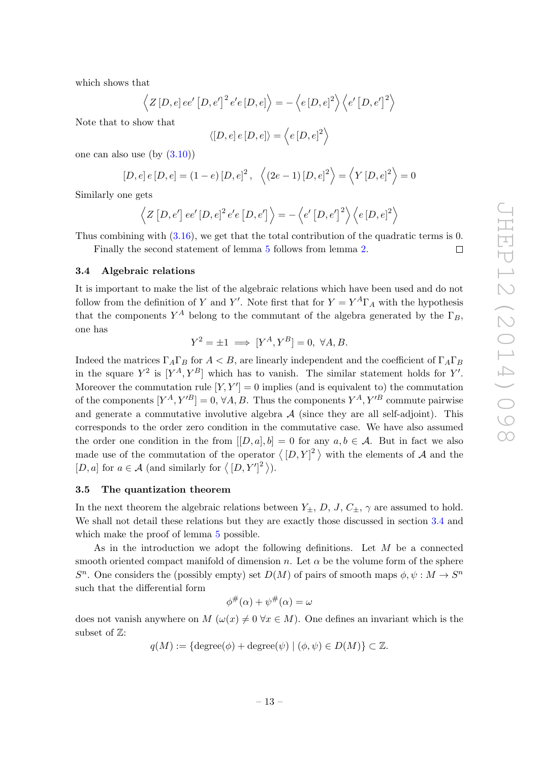$\Box$ 

which shows that

$$
\left\langle Z\left[D,e\right]ee'\left[D,e'\right]^{2}e'e\left[D,e\right]\right\rangle = -\left\langle e\left[D,e\right]^{2}\right\rangle \left\langle e'\left[D,e'\right]^{2}\right\rangle
$$

Note that to show that

$$
\langle [D, e] e [D, e] \rangle = \langle e [D, e]^2 \rangle
$$

one can also use  $(by (3.10))$  $(by (3.10))$  $(by (3.10))$ 

$$
[D, e] e [D, e] = (1 - e) [D, e]^2, \ \langle (2e - 1) [D, e]^2 \rangle = \langle Y [D, e]^2 \rangle = 0
$$

Similarly one gets

$$
\left\langle Z\left[D,e'\right]ee'\left[D,e\right]^{2}e'e\left[D,e'\right]\right\rangle = -\left\langle e'\left[D,e'\right]^{2}\right\rangle \left\langle e\left[D,e\right]^{2}\right\rangle
$$

Thus combining with [\(3.16\)](#page-12-0), we get that the total contribution of the quadratic terms is 0.

Finally the second statement of lemma [5](#page-11-1) follows from lemma [2.](#page-7-2)

## <span id="page-13-0"></span>3.4 Algebraic relations

It is important to make the list of the algebraic relations which have been used and do not follow from the definition of Y and Y'. Note first that for  $Y = Y^A \Gamma_A$  with the hypothesis that the components  $Y^A$  belong to the commutant of the algebra generated by the  $\Gamma_B$ , one has

$$
Y^2 = \pm 1 \implies [Y^A, Y^B] = 0, \ \forall A, B.
$$

Indeed the matrices  $\Gamma_A \Gamma_B$  for  $A < B$ , are linearly independent and the coefficient of  $\Gamma_A \Gamma_B$ in the square  $Y^2$  is  $[Y^A, Y^B]$  which has to vanish. The similar statement holds for Y'. Moreover the commutation rule  $[Y, Y'] = 0$  implies (and is equivalent to) the commutation of the components  $[Y^A, Y'^B] = 0, \forall A, B$ . Thus the components  $Y^A, Y'^B$  commute pairwise and generate a commutative involutive algebra  $A$  (since they are all self-adjoint). This corresponds to the order zero condition in the commutative case. We have also assumed the order one condition in the from  $[[D, a], b] = 0$  for any  $a, b \in \mathcal{A}$ . But in fact we also made use of the commutation of the operator  $\langle [D, Y]^2 \rangle$  with the elements of A and the [D, a] for  $a \in \mathcal{A}$  (and similarly for  $\langle [D, Y']^2 \rangle$ ).

#### <span id="page-13-1"></span>3.5 The quantization theorem

In the next theorem the algebraic relations between  $Y_{\pm}$ , D, J,  $C_{\pm}$ ,  $\gamma$  are assumed to hold. We shall not detail these relations but they are exactly those discussed in section [3.4](#page-13-0) and which make the proof of lemma  $5$  possible.

As in the introduction we adopt the following definitions. Let M be a connected smooth oriented compact manifold of dimension n. Let  $\alpha$  be the volume form of the sphere  $S<sup>n</sup>$ . One considers the (possibly empty) set  $D(M)$  of pairs of smooth maps  $\phi, \psi : M \to S<sup>n</sup>$ such that the differential form

$$
\phi^{\#}(\alpha) + \psi^{\#}(\alpha) = \omega
$$

<span id="page-13-2"></span>does not vanish anywhere on M  $(\omega(x) \neq 0 \ \forall x \in M)$ . One defines an invariant which is the subset of Z:

$$
q(M) := \{ \text{degree}(\phi) + \text{degree}(\psi) \mid (\phi, \psi) \in D(M) \} \subset \mathbb{Z}.
$$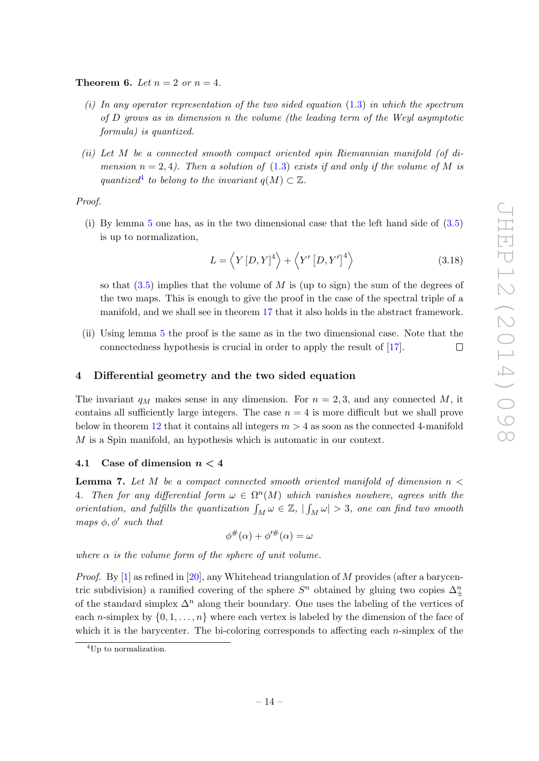**Theorem 6.** Let  $n = 2$  or  $n = 4$ .

- (i) In any operator representation of the two sided equation  $(1.3)$  in which the spectrum of D grows as in dimension n the volume (the leading term of the Weyl asymptotic formula) is quantized.
- (ii) Let M be a connected smooth compact oriented spin Riemannian manifold (of dimension  $n = 2, 4$ ). Then a solution of [\(1.3\)](#page-4-2) exists if and only if the volume of M is quantized<sup>[4](#page-14-2)</sup> to belong to the invariant  $q(M) \subset \mathbb{Z}$ .

Proof.

(i) By lemma [5](#page-11-1) one has, as in the two dimensional case that the left hand side of [\(3.5\)](#page-8-3) is up to normalization,

$$
L = \langle Y[D, Y]^4 \rangle + \langle Y'[D, Y']^4 \rangle \tag{3.18}
$$

so that  $(3.5)$  implies that the volume of M is (up to sign) the sum of the degrees of the two maps. This is enough to give the proof in the case of the spectral triple of a manifold, and we shall see in theorem [17](#page-22-1) that it also holds in the abstract framework.

(ii) Using lemma [5](#page-11-1) the proof is the same as in the two dimensional case. Note that the connectedness hypothesis is crucial in order to apply the result of [\[17\]](#page-24-0).  $\Box$ 

## <span id="page-14-0"></span>4 Differential geometry and the two sided equation

The invariant  $q_M$  makes sense in any dimension. For  $n = 2, 3$ , and any connected M, it contains all sufficiently large integers. The case  $n = 4$  is more difficult but we shall prove below in theorem [12](#page-18-1) that it contains all integers  $m > 4$  as soon as the connected 4-manifold M is a Spin manifold, an hypothesis which is automatic in our context.

## <span id="page-14-1"></span>4.1 Case of dimension  $n < 4$

<span id="page-14-3"></span>**Lemma 7.** Let M be a compact connected smooth oriented manifold of dimension  $n <$ 4. Then for any differential form  $\omega \in \Omega^n(M)$  which vanishes nowhere, agrees with the orientation, and fulfills the quantization  $\int_M \omega \in \mathbb{Z}$ ,  $|\int_M \omega| > 3$ , one can find two smooth maps  $\phi$ ,  $\phi'$  such that

$$
\phi^{\#}(\alpha) + \phi'^{\#}(\alpha) = \omega
$$

where  $\alpha$  is the volume form of the sphere of unit volume.

*Proof.* By [\[1\]](#page-23-3) as refined in [\[20\]](#page-24-1), any Whitehead triangulation of M provides (after a barycentric subdivision) a ramified covering of the sphere  $S<sup>n</sup>$  obtained by gluing two copies  $\Delta_{\pm}^{n}$ of the standard simplex  $\Delta^n$  along their boundary. One uses the labeling of the vertices of each *n*-simplex by  $\{0, 1, \ldots, n\}$  where each vertex is labeled by the dimension of the face of which it is the barycenter. The bi-coloring corresponds to affecting each  $n$ -simplex of the

<span id="page-14-2"></span><sup>4</sup>Up to normalization.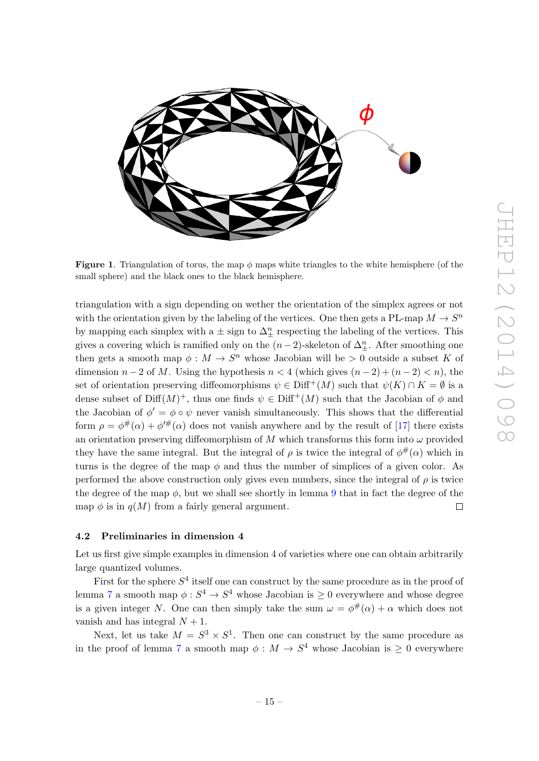

Figure 1. Triangulation of torus, the map  $\phi$  maps white triangles to the white hemisphere (of the small sphere) and the black ones to the black hemisphere.

triangulation with a sign depending on wether the orientation of the simplex agrees or not with the orientation given by the labeling of the vertices. One then gets a PL-map  $M \to S^n$ by mapping each simplex with a  $\pm$  sign to  $\Delta_{\pm}^{n}$  respecting the labeling of the vertices. This gives a covering which is ramified only on the  $(n-2)$ -skeleton of  $\Delta_{\pm}^{n}$ . After smoothing one then gets a smooth map  $\phi: M \to S^n$  whose Jacobian will be  $> 0$  outside a subset K of dimension  $n-2$  of M. Using the hypothesis  $n < 4$  (which gives  $(n-2) + (n-2) < n$ ), the set of orientation preserving diffeomorphisms  $\psi \in \text{Diff}^{+}(M)$  such that  $\psi(K) \cap K = \emptyset$  is a dense subset of  $\text{Diff}(M)^+$ , thus one finds  $\psi \in \text{Diff}^+(M)$  such that the Jacobian of  $\phi$  and the Jacobian of  $\phi' = \phi \circ \psi$  never vanish simultaneously. This shows that the differential form  $\rho = \phi^{\#}(\alpha) + \phi^{\prime\#}(\alpha)$  does not vanish anywhere and by the result of [\[17\]](#page-24-0) there exists an orientation preserving diffeomorphism of M which transforms this form into  $\omega$  provided they have the same integral. But the integral of  $\rho$  is twice the integral of  $\phi^{\#}(\alpha)$  which in turns is the degree of the map  $\phi$  and thus the number of simplices of a given color. As performed the above construction only gives even numbers, since the integral of  $\rho$  is twice the degree of the map  $\phi$ , but we shall see shortly in lemma [9](#page-16-2) that in fact the degree of the map  $\phi$  is in  $q(M)$  from a fairly general argument.  $\Box$ 

#### <span id="page-15-0"></span>4.2 Preliminaries in dimension 4

Let us first give simple examples in dimension 4 of varieties where one can obtain arbitrarily large quantized volumes.

First for the sphere  $S<sup>4</sup>$  itself one can construct by the same procedure as in the proof of lemma [7](#page-14-3) a smooth map  $\phi: S^4 \to S^4$  whose Jacobian is  $\geq 0$  everywhere and whose degree is a given integer N. One can then simply take the sum  $\omega = \phi^{\#}(\alpha) + \alpha$  which does not vanish and has integral  $N + 1$ .

Next, let us take  $M = S^3 \times S^1$ . Then one can construct by the same procedure as in the proof of lemma [7](#page-14-3) a smooth map  $\phi: M \to S^4$  whose Jacobian is  $\geq 0$  everywhere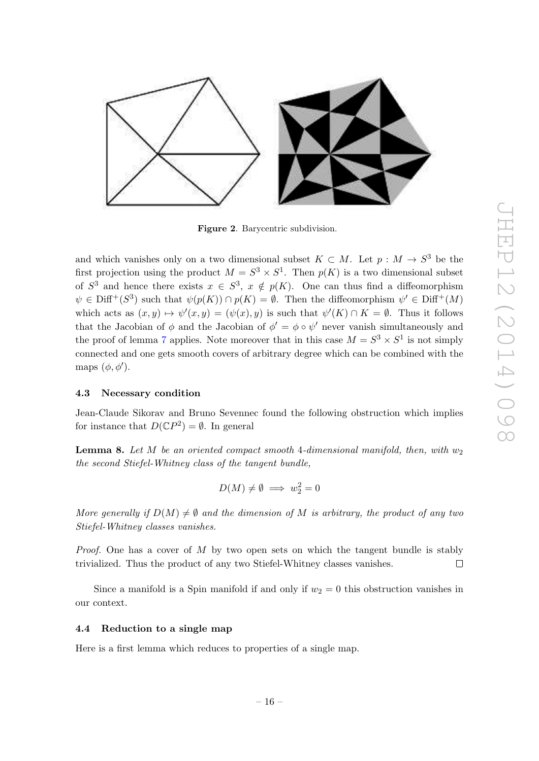

Figure 2. Barycentric subdivision.

and which vanishes only on a two dimensional subset  $K \subset M$ . Let  $p : M \to S^3$  be the first projection using the product  $M = S^3 \times S^1$ . Then  $p(K)$  is a two dimensional subset of  $S^3$  and hence there exists  $x \in S^3$ ,  $x \notin p(K)$ . One can thus find a diffeomorphism  $\psi \in \text{Diff}^+(S^3)$  such that  $\psi(p(K)) \cap p(K) = \emptyset$ . Then the diffeomorphism  $\psi' \in \text{Diff}^+(M)$ which acts as  $(x, y) \mapsto \psi'(x, y) = (\psi(x), y)$  is such that  $\psi'(K) \cap K = \emptyset$ . Thus it follows that the Jacobian of  $\phi$  and the Jacobian of  $\phi' = \phi \circ \psi'$  never vanish simultaneously and the proof of lemma [7](#page-14-3) applies. Note moreover that in this case  $M = S^3 \times S^1$  is not simply connected and one gets smooth covers of arbitrary degree which can be combined with the maps  $(\phi, \phi')$ .

#### <span id="page-16-0"></span>4.3 Necessary condition

Jean-Claude Sikorav and Bruno Sevennec found the following obstruction which implies for instance that  $D(\mathbb{C}P^2) = \emptyset$ . In general

**Lemma 8.** Let M be an oriented compact smooth 4-dimensional manifold, then, with  $w_2$ the second Stiefel-Whitney class of the tangent bundle,

$$
D(M) \neq \emptyset \implies w_2^2 = 0
$$

More generally if  $D(M) \neq \emptyset$  and the dimension of M is arbitrary, the product of any two Stiefel-Whitney classes vanishes.

*Proof.* One has a cover of  $M$  by two open sets on which the tangent bundle is stably trivialized. Thus the product of any two Stiefel-Whitney classes vanishes.  $\Box$ 

Since a manifold is a Spin manifold if and only if  $w_2 = 0$  this obstruction vanishes in our context.

## <span id="page-16-1"></span>4.4 Reduction to a single map

<span id="page-16-2"></span>Here is a first lemma which reduces to properties of a single map.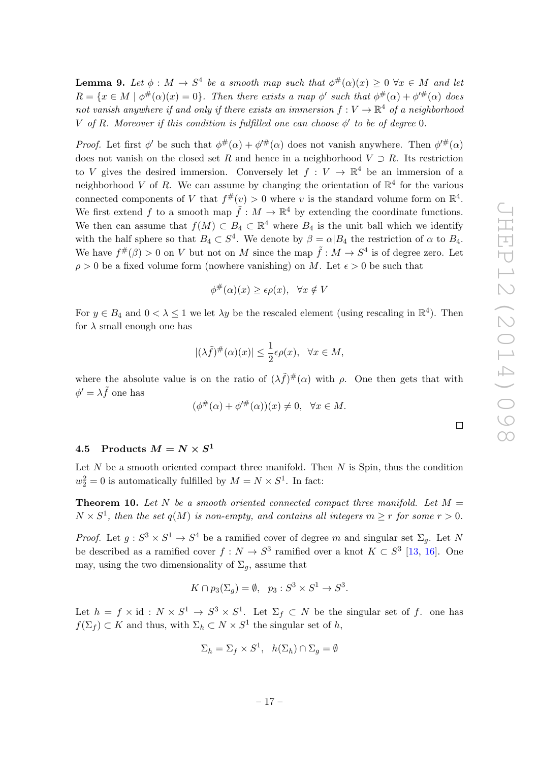$\Box$ 

**Lemma 9.** Let  $\phi : M \to S^4$  be a smooth map such that  $\phi^{\#}(\alpha)(x) \geq 0 \ \forall x \in M$  and let  $R = \{x \in M \mid \phi^{\#}(\alpha)(x) = 0\}.$  Then there exists a map  $\phi'$  such that  $\phi^{\#}(\alpha) + \phi'^{\#}(\alpha)$  does not vanish anywhere if and only if there exists an immersion  $f: V \to \mathbb{R}^4$  of a neighborhood V of R. Moreover if this condition is fulfilled one can choose  $\phi'$  to be of degree 0.

*Proof.* Let first  $\phi'$  be such that  $\phi^{\#}(\alpha) + \phi'^{\#}(\alpha)$  does not vanish anywhere. Then  $\phi'^{\#}(\alpha)$ does not vanish on the closed set R and hence in a neighborhood  $V \supset R$ . Its restriction to V gives the desired immersion. Conversely let  $f: V \to \mathbb{R}^4$  be an immersion of a neighborhood V of R. We can assume by changing the orientation of  $\mathbb{R}^4$  for the various connected components of V that  $f^{\#}(v) > 0$  where v is the standard volume form on  $\mathbb{R}^4$ . We first extend f to a smooth map  $\tilde{f}: M \to \mathbb{R}^4$  by extending the coordinate functions. We then can assume that  $f(M) \subset B_4 \subset \mathbb{R}^4$  where  $B_4$  is the unit ball which we identify with the half sphere so that  $B_4 \subset S^4$ . We denote by  $\beta = \alpha | B_4$  the restriction of  $\alpha$  to  $B_4$ . We have  $f^{\#}(\beta) > 0$  on V but not on M since the map  $\tilde{f}: M \to S^4$  is of degree zero. Let  $\rho > 0$  be a fixed volume form (nowhere vanishing) on M. Let  $\epsilon > 0$  be such that

$$
\phi^{\#}(\alpha)(x) \ge \epsilon \rho(x), \quad \forall x \notin V
$$

For  $y \in B_4$  and  $0 < \lambda \leq 1$  we let  $\lambda y$  be the rescaled element (using rescaling in  $\mathbb{R}^4$ ). Then for  $\lambda$  small enough one has

$$
|(\lambda \tilde{f})^{\#}(\alpha)(x)| \leq \frac{1}{2}\epsilon \rho(x), \quad \forall x \in M,
$$

where the absolute value is on the ratio of  $(\lambda \tilde{f})^{\#}(\alpha)$  with  $\rho$ . One then gets that with  $\phi' = \lambda \tilde{f}$  one has

$$
(\phi^{\#}(\alpha) + \phi'^{\#}(\alpha))(x) \neq 0, \ \ \forall x \in M.
$$

## <span id="page-17-0"></span> $4.5 \quad \text{Products} \ M = N \times S^1$

Let  $N$  be a smooth oriented compact three manifold. Then  $N$  is Spin, thus the condition  $w_2^2 = 0$  is automatically fulfilled by  $M = N \times S^1$ . In fact:

<span id="page-17-1"></span>**Theorem 10.** Let N be a smooth oriented connected compact three manifold. Let  $M =$  $N \times S^1$ , then the set  $q(M)$  is non-empty, and contains all integers  $m \geq r$  for some  $r > 0$ .

*Proof.* Let  $g: S^3 \times S^1 \to S^4$  be a ramified cover of degree m and singular set  $\Sigma_g$ . Let N be described as a ramified cover  $f: N \to S^3$  ramified over a knot  $K \subset S^3$  [\[13,](#page-24-2) [16\]](#page-24-3). One may, using the two dimensionality of  $\Sigma_q$ , assume that

$$
K \cap p_3(\Sigma_g) = \emptyset, \ \ p_3 : S^3 \times S^1 \to S^3.
$$

Let  $h = f \times id : N \times S^1 \to S^3 \times S^1$ . Let  $\Sigma_f \subset N$  be the singular set of f. one has  $f(\Sigma_f) \subset K$  and thus, with  $\Sigma_h \subset N \times S^1$  the singular set of h,

$$
\Sigma_h = \Sigma_f \times S^1, \quad h(\Sigma_h) \cap \Sigma_g = \emptyset
$$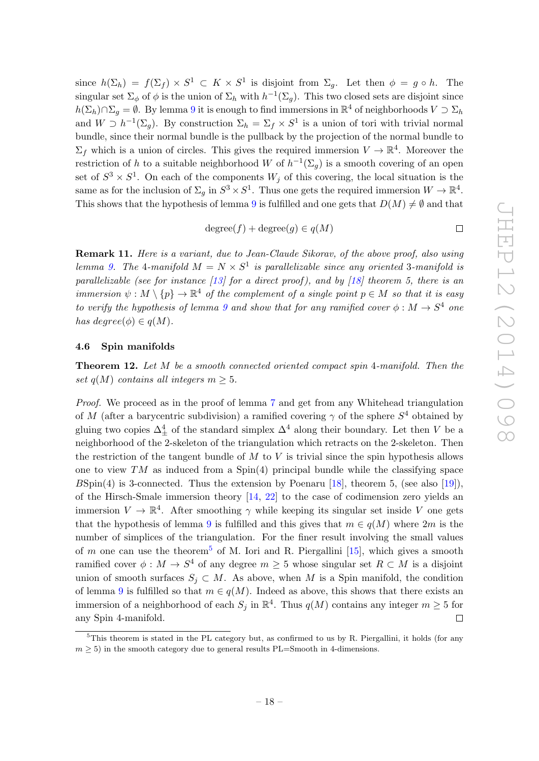since  $h(\Sigma_h) = f(\Sigma_f) \times S^1 \subset K \times S^1$  is disjoint from  $\Sigma_g$ . Let then  $\phi = g \circ h$ . The singular set  $\Sigma_{\phi}$  of  $\phi$  is the union of  $\Sigma_h$  with  $h^{-1}(\Sigma_g)$ . This two closed sets are disjoint since  $h(\Sigma_h) \cap \Sigma_g = \emptyset$ . By lemma [9](#page-16-2) it is enough to find immersions in  $\mathbb{R}^4$  of neighborhoods  $V \supset \Sigma_h$ and  $W \supset h^{-1}(\Sigma_g)$ . By construction  $\Sigma_h = \Sigma_f \times S^1$  is a union of tori with trivial normal bundle, since their normal bundle is the pullback by the projection of the normal bundle to  $\Sigma_f$  which is a union of circles. This gives the required immersion  $V \to \mathbb{R}^4$ . Moreover the restriction of h to a suitable neighborhood W of  $h^{-1}(\Sigma_g)$  is a smooth covering of an open set of  $S^3 \times S^1$ . On each of the components  $W_j$  of this covering, the local situation is the same as for the inclusion of  $\Sigma_g$  in  $S^3 \times S^1$ . Thus one gets the required immersion  $W \to \mathbb{R}^4$ . This shows that the hypothesis of lemma [9](#page-16-2) is fulfilled and one gets that  $D(M) \neq \emptyset$  and that

$$
degree(f) + degree(g) \in q(M)
$$

Remark 11. Here is a variant, due to Jean-Claude Sikorav, of the above proof, also using lemma [9.](#page-16-2) The 4-manifold  $M = N \times S^1$  is parallelizable since any oriented 3-manifold is parallelizable (see for instance  $\lfloor 13 \rfloor$  for a direct proof), and by  $\lfloor 18 \rfloor$  theorem 5, there is an immersion  $\psi : M \setminus \{p\} \to \mathbb{R}^4$  of the complement of a single point  $p \in M$  so that it is easy to verify the hypothesis of lemma [9](#page-16-2) and show that for any ramified cover  $\phi : M \to S^4$  one has degree $(\phi) \in q(M)$ .

#### <span id="page-18-0"></span>4.6 Spin manifolds

<span id="page-18-1"></span>Theorem 12. Let M be a smooth connected oriented compact spin 4-manifold. Then the set  $q(M)$  contains all integers  $m \geq 5$ .

Proof. We proceed as in the proof of lemma [7](#page-14-3) and get from any Whitehead triangulation of M (after a barycentric subdivision) a ramified covering  $\gamma$  of the sphere  $S^4$  obtained by gluing two copies  $\Delta_{\pm}^4$  of the standard simplex  $\Delta^4$  along their boundary. Let then V be a neighborhood of the 2-skeleton of the triangulation which retracts on the 2-skeleton. Then the restriction of the tangent bundle of  $M$  to  $V$  is trivial since the spin hypothesis allows one to view  $TM$  as induced from a  $Spin(4)$  principal bundle while the classifying space  $B\text{Spin}(4)$  is 3-connected. Thus the extension by Poenaru [\[18\]](#page-24-4), theorem 5, (see also [\[19\]](#page-24-5)), of the Hirsch-Smale immersion theory  $[14, 22]$  $[14, 22]$  to the case of codimension zero yields an immersion  $V \to \mathbb{R}^4$ . After smoothing  $\gamma$  while keeping its singular set inside V one gets that the hypothesis of lemma [9](#page-16-2) is fulfilled and this gives that  $m \in q(M)$  where  $2m$  is the number of simplices of the triangulation. For the finer result involving the small values of m one can use the theorem<sup>[5](#page-18-2)</sup> of M. Iori and R. Piergallini [\[15\]](#page-24-8), which gives a smooth ramified cover  $\phi: M \to S^4$  of any degree  $m \geq 5$  whose singular set  $R \subset M$  is a disjoint union of smooth surfaces  $S_i \subset M$ . As above, when M is a Spin manifold, the condition of lemma [9](#page-16-2) is fulfilled so that  $m \in q(M)$ . Indeed as above, this shows that there exists an immersion of a neighborhood of each  $S_j$  in  $\mathbb{R}^4$ . Thus  $q(M)$  contains any integer  $m \geq 5$  for any Spin 4-manifold.  $\Box$ 

<span id="page-18-2"></span> $5$ This theorem is stated in the PL category but, as confirmed to us by R. Piergallini, it holds (for any  $m > 5$ ) in the smooth category due to general results PL=Smooth in 4-dimensions.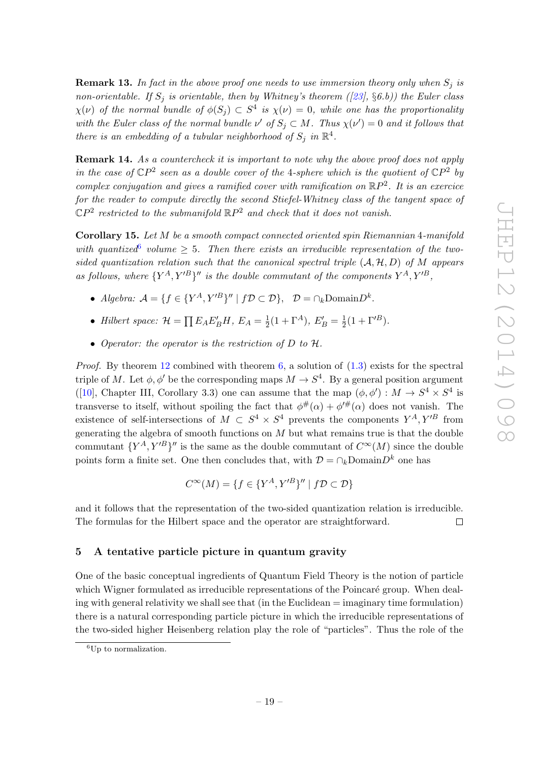**Remark 13.** In fact in the above proof one needs to use immersion theory only when  $S_i$  is non-orientable. If  $S_i$  is orientable, then by Whitney's theorem ([\[23\]](#page-24-9), §6.b)) the Euler class  $\chi(\nu)$  of the normal bundle of  $\phi(S_j) \subset S^4$  is  $\chi(\nu) = 0$ , while one has the proportionality with the Euler class of the normal bundle  $\nu'$  of  $S_j \subset M$ . Thus  $\chi(\nu') = 0$  and it follows that there is an embedding of a tubular neighborhood of  $S_j$  in  $\mathbb{R}^4$ .

Remark 14. As a countercheck it is important to note why the above proof does not apply in the case of  $\mathbb{C}P^2$  seen as a double cover of the 4-sphere which is the quotient of  $\mathbb{C}P^2$  by complex conjugation and gives a ramified cover with ramification on  $\mathbb{R}P^2$ . It is an exercice for the reader to compute directly the second Stiefel-Whitney class of the tangent space of  $\mathbb{C}P^2$  restricted to the submanifold  $\mathbb{R}P^2$  and check that it does not vanish.

Corollary 15. Let M be a smooth compact connected oriented spin Riemannian 4-manifold with quantized of volume  $\geq$  5. Then there exists an irreducible representation of the twosided quantization relation such that the canonical spectral triple  $(A, H, D)$  of M appears as follows, where  ${Y^A, Y'^B}''$  is the double commutant of the components  $Y^A, Y'^B,$ 

- Algebra:  $A = \{f \in \{Y^A, Y'^B\}'' \mid f\mathcal{D} \subset \mathcal{D}\}, \quad \mathcal{D} = \cap_k \text{Domain} D^k.$
- Hilbert space:  $\mathcal{H} = \prod E_A E'_B H$ ,  $E_A = \frac{1}{2}$  $\frac{1}{2}(1+\Gamma^A), E'_B = \frac{1}{2}$  $\frac{1}{2}(1+\Gamma'^B).$
- Operator: the operator is the restriction of D to H.

*Proof.* By theorem [12](#page-18-1) combined with theorem  $6$ , a solution of  $(1.3)$  exists for the spectral triple of M. Let  $\phi, \phi'$  be the corresponding maps  $M \to S^4$ . By a general position argument ([\[10\]](#page-23-4), Chapter III, Corollary 3.3) one can assume that the map  $(\phi, \phi') : M \to S^4 \times S^4$  is transverse to itself, without spoiling the fact that  $\phi^{\#}(\alpha) + \phi'^{\#}(\alpha)$  does not vanish. The existence of self-intersections of  $M \text{ }\subset S^4 \times S^4$  prevents the components  $Y^A, Y'^B$  from generating the algebra of smooth functions on  $M$  but what remains true is that the double commutant  ${Y^A, Y'^B}$ '' is the same as the double commutant of  $C^{\infty}(M)$  since the double points form a finite set. One then concludes that, with  $\mathcal{D} = \cap_k \text{Domain} D^k$  one has

$$
C^{\infty}(M) = \{ f \in \{ Y^A, Y'^B \}'' \mid f \mathcal{D} \subset \mathcal{D} \}
$$

and it follows that the representation of the two-sided quantization relation is irreducible. The formulas for the Hilbert space and the operator are straightforward.  $\Box$ 

## <span id="page-19-0"></span>5 A tentative particle picture in quantum gravity

One of the basic conceptual ingredients of Quantum Field Theory is the notion of particle which Wigner formulated as irreducible representations of the Poincaré group. When dealing with general relativity we shall see that (in the Euclidean = imaginary time formulation) there is a natural corresponding particle picture in which the irreducible representations of the two-sided higher Heisenberg relation play the role of "particles". Thus the role of the

<span id="page-19-1"></span> ${}^{6}$ Up to normalization.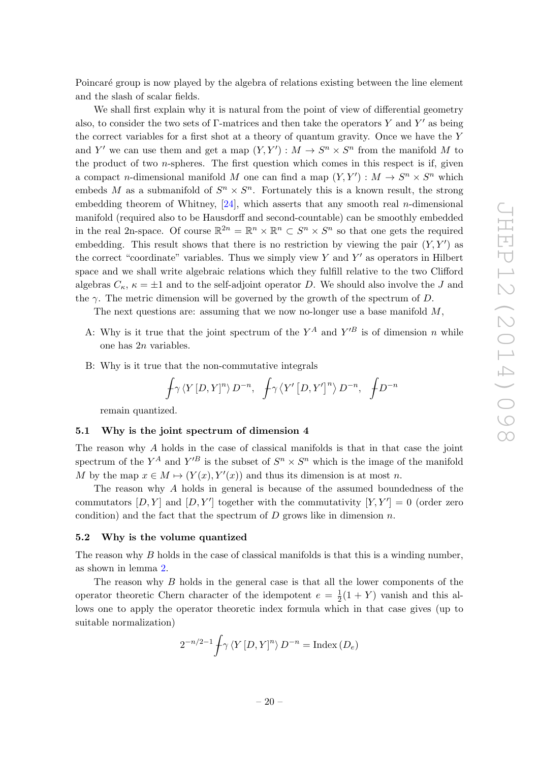Poincaré group is now played by the algebra of relations existing between the line element and the slash of scalar fields.

We shall first explain why it is natural from the point of view of differential geometry also, to consider the two sets of  $\Gamma$ -matrices and then take the operators Y and Y' as being the correct variables for a first shot at a theory of quantum gravity. Once we have the Y and Y' we can use them and get a map  $(Y, Y') : M \to S^n \times S^n$  from the manifold M to the product of two  $n$ -spheres. The first question which comes in this respect is if, given a compact *n*-dimensional manifold M one can find a map  $(Y, Y') : M \to S^n \times S^n$  which embeds M as a submanifold of  $S^n \times S^n$ . Fortunately this is a known result, the strong embedding theorem of Whitney,  $[24]$ , which asserts that any smooth real *n*-dimensional manifold (required also to be Hausdorff and second-countable) can be smoothly embedded in the real 2n-space. Of course  $\mathbb{R}^{2n} = \mathbb{R}^n \times \mathbb{R}^n \subset S^n \times S^n$  so that one gets the required embedding. This result shows that there is no restriction by viewing the pair  $(Y, Y')$  as the correct "coordinate" variables. Thus we simply view  $Y$  and  $Y'$  as operators in Hilbert space and we shall write algebraic relations which they fulfill relative to the two Clifford algebras  $C_{\kappa}$ ,  $\kappa = \pm 1$  and to the self-adjoint operator D. We should also involve the J and the  $\gamma$ . The metric dimension will be governed by the growth of the spectrum of D.

The next questions are: assuming that we now no-longer use a base manifold  $M$ ,

- A: Why is it true that the joint spectrum of the  $Y^A$  and  $Y'^B$  is of dimension n while one has 2n variables.
- B: Why is it true that the non-commutative integrals

$$
\oint \! \gamma \, \langle Y\, [D,Y]^n \rangle \, D^{-n}, \quad \!\! \int \! \gamma \, \langle Y'\, [D,Y']^n \rangle \, D^{-n}, \quad \!\! \int \! \! D^{-n}
$$

remain quantized.

#### <span id="page-20-0"></span>5.1 Why is the joint spectrum of dimension 4

The reason why A holds in the case of classical manifolds is that in that case the joint spectrum of the  $Y^A$  and  $Y'^B$  is the subset of  $S^n \times S^n$  which is the image of the manifold M by the map  $x \in M \mapsto (Y(x), Y'(x))$  and thus its dimension is at most n.

The reason why A holds in general is because of the assumed boundedness of the commutators  $[D, Y]$  and  $[D, Y']$  together with the commutativity  $[Y, Y'] = 0$  (order zero condition) and the fact that the spectrum of  $D$  grows like in dimension  $n$ .

## <span id="page-20-1"></span>5.2 Why is the volume quantized

The reason why  $B$  holds in the case of classical manifolds is that this is a winding number, as shown in lemma [2.](#page-7-2)

The reason why B holds in the general case is that all the lower components of the operator theoretic Chern character of the idempotent  $e = \frac{1}{2}$  $\frac{1}{2}(1+Y)$  vanish and this allows one to apply the operator theoretic index formula which in that case gives (up to suitable normalization)

$$
2^{-n/2-1} \int \gamma \langle Y[D, Y]^n \rangle D^{-n} = \text{Index} (D_e)
$$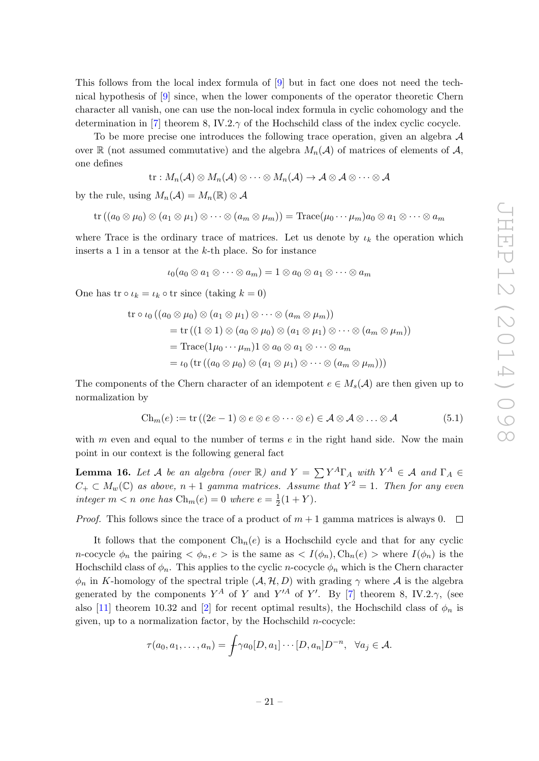This follows from the local index formula of [\[9\]](#page-23-5) but in fact one does not need the technical hypothesis of [\[9\]](#page-23-5) since, when the lower components of the operator theoretic Chern character all vanish, one can use the non-local index formula in cyclic cohomology and the determination in [\[7\]](#page-23-2) theorem 8, IV.2. $\gamma$  of the Hochschild class of the index cyclic cocycle.

To be more precise one introduces the following trace operation, given an algebra  $\mathcal A$ over R (not assumed commutative) and the algebra  $M_n(\mathcal{A})$  of matrices of elements of  $\mathcal{A}$ , one defines

$$
\mathrm{tr}:M_n(\mathcal{A})\otimes M_n(\mathcal{A})\otimes\cdots\otimes M_n(\mathcal{A})\to\mathcal{A}\otimes\mathcal{A}\otimes\cdots\otimes\mathcal{A}
$$

by the rule, using  $M_n(\mathcal{A}) = M_n(\mathbb{R}) \otimes \mathcal{A}$ 

$$
\mathrm{tr}\left(\left(a_0\otimes \mu_0\right)\otimes \left(a_1\otimes \mu_1\right)\otimes \cdots \otimes \left(a_m\otimes \mu_m\right)\right)=\mathrm{Trace}(\mu_0\cdots \mu_m)a_0\otimes a_1\otimes \cdots \otimes a_m
$$

where Trace is the ordinary trace of matrices. Let us denote by  $\iota_k$  the operation which inserts a 1 in a tensor at the  $k$ -th place. So for instance

$$
\iota_0(a_0\otimes a_1\otimes\cdots\otimes a_m)=1\otimes a_0\otimes a_1\otimes\cdots\otimes a_m
$$

One has tr  $\circ \iota_k = \iota_k \circ \text{tr since } (\text{taking } k = 0)$ 

$$
\text{tr}\circ\iota_0((a_0\otimes\mu_0)\otimes(a_1\otimes\mu_1)\otimes\cdots\otimes(a_m\otimes\mu_m))
$$
\n
$$
= \text{tr}\left((1\otimes 1)\otimes(a_0\otimes\mu_0)\otimes(a_1\otimes\mu_1)\otimes\cdots\otimes(a_m\otimes\mu_m)\right)
$$
\n
$$
= \text{Trace}(1\mu_0\cdots\mu_m)1\otimes a_0\otimes a_1\otimes\cdots\otimes a_m
$$
\n
$$
= \iota_0\left(\text{tr}\left((a_0\otimes\mu_0)\otimes(a_1\otimes\mu_1)\otimes\cdots\otimes(a_m\otimes\mu_m)\right)\right)
$$

The components of the Chern character of an idempotent  $e \in M_s(\mathcal{A})$  are then given up to normalization by

<span id="page-21-0"></span>
$$
\mathrm{Ch}_m(e) := \mathrm{tr}\left( (2e - 1) \otimes e \otimes e \otimes \cdots \otimes e \right) \in \mathcal{A} \otimes \mathcal{A} \otimes \ldots \otimes \mathcal{A} \tag{5.1}
$$

with  $m$  even and equal to the number of terms  $e$  in the right hand side. Now the main point in our context is the following general fact

**Lemma 16.** Let A be an algebra (over R) and  $Y = \sum Y^A \Gamma_A$  with  $Y^A \in A$  and  $\Gamma_A \in$  $C_+ \subset M_w(\mathbb{C})$  as above,  $n+1$  gamma matrices. Assume that  $Y^2 = 1$ . Then for any even integer  $m < n$  one has  $\mathrm{Ch}_m(e) = 0$  where  $e = \frac{1}{2}$  $rac{1}{2}(1+Y).$ 

*Proof.* This follows since the trace of a product of  $m + 1$  gamma matrices is always 0.  $\Box$ 

It follows that the component  $\text{Ch}_n(e)$  is a Hochschild cycle and that for any cyclic n-cocycle  $\phi_n$  the pairing  $\langle \phi_n, e \rangle$  is the same as  $\langle I(\phi_n), Ch_n(e) \rangle$  where  $I(\phi_n)$  is the Hochschild class of  $\phi_n$ . This applies to the cyclic *n*-cocycle  $\phi_n$  which is the Chern character  $\phi_n$  in K-homology of the spectral triple  $(A, \mathcal{H}, D)$  with grading  $\gamma$  where A is the algebra generated by the components  $Y^A$  of Y and  $Y'^A$  of Y'. By [\[7\]](#page-23-2) theorem 8, IV.2. $\gamma$ , (see also [\[11\]](#page-24-11) theorem 10.32 and [\[2\]](#page-23-6) for recent optimal results), the Hochschild class of  $\phi_n$  is given, up to a normalization factor, by the Hochschild  $n$ -cocycle:

$$
\tau(a_0, a_1, \dots, a_n) = \int \gamma a_0 [D, a_1] \cdots [D, a_n] D^{-n}, \quad \forall a_j \in \mathcal{A}.
$$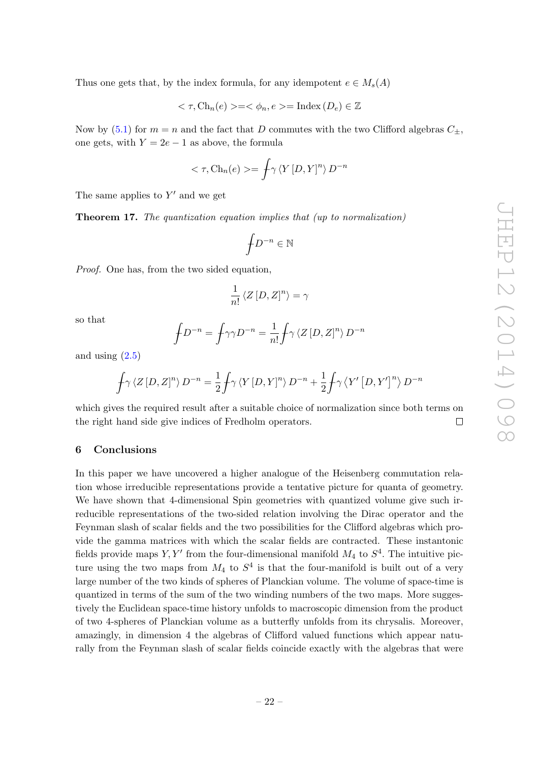Thus one gets that, by the index formula, for any idempotent  $e \in M_s(A)$ 

$$
\langle \tau, \text{Ch}_n(e) \rangle = \langle \phi_n, e \rangle = \text{Index} (D_e) \in \mathbb{Z}
$$

Now by [\(5.1\)](#page-21-0) for  $m = n$  and the fact that D commutes with the two Clifford algebras  $C_{\pm}$ , one gets, with  $Y = 2e - 1$  as above, the formula

$$
\langle \tau, \mathrm{Ch}_n(e) \rangle = \int \gamma \langle Y[D, Y]^n \rangle D^{-n}
$$

<span id="page-22-1"></span>The same applies to  $Y'$  and we get

Theorem 17. The quantization equation implies that (up to normalization)

$$
\oint\!\! D^{-n}\in\mathbb{N}
$$

Proof. One has, from the two sided equation,

$$
\frac{1}{n!} \left\langle Z \left[ D,Z \right]^n \right\rangle = \gamma
$$

so that

$$
\oint D^{-n} = \oint \gamma \gamma D^{-n} = \frac{1}{n!} \oint \gamma \langle Z [D, Z]^n \rangle D^{-n}
$$

and using  $(2.5)$ 

$$
\oint \! \gamma \, \langle Z \, [D, Z]^n \rangle \, D^{-n} = \frac{1}{2} \! \int \! \gamma \, \langle Y \, [D, Y]^n \rangle \, D^{-n} + \frac{1}{2} \! \int \! \gamma \, \langle Y' \, [D, Y']^n \rangle \, D^{-n}
$$

which gives the required result after a suitable choice of normalization since both terms on the right hand side give indices of Fredholm operators.  $\Box$ 

## <span id="page-22-0"></span>6 Conclusions

In this paper we have uncovered a higher analogue of the Heisenberg commutation relation whose irreducible representations provide a tentative picture for quanta of geometry. We have shown that 4-dimensional Spin geometries with quantized volume give such irreducible representations of the two-sided relation involving the Dirac operator and the Feynman slash of scalar fields and the two possibilities for the Clifford algebras which provide the gamma matrices with which the scalar fields are contracted. These instantonic fields provide maps  $Y, Y'$  from the four-dimensional manifold  $M_4$  to  $S^4$ . The intuitive picture using the two maps from  $M_4$  to  $S^4$  is that the four-manifold is built out of a very large number of the two kinds of spheres of Planckian volume. The volume of space-time is quantized in terms of the sum of the two winding numbers of the two maps. More suggestively the Euclidean space-time history unfolds to macroscopic dimension from the product of two 4-spheres of Planckian volume as a butterfly unfolds from its chrysalis. Moreover, amazingly, in dimension 4 the algebras of Clifford valued functions which appear naturally from the Feynman slash of scalar fields coincide exactly with the algebras that were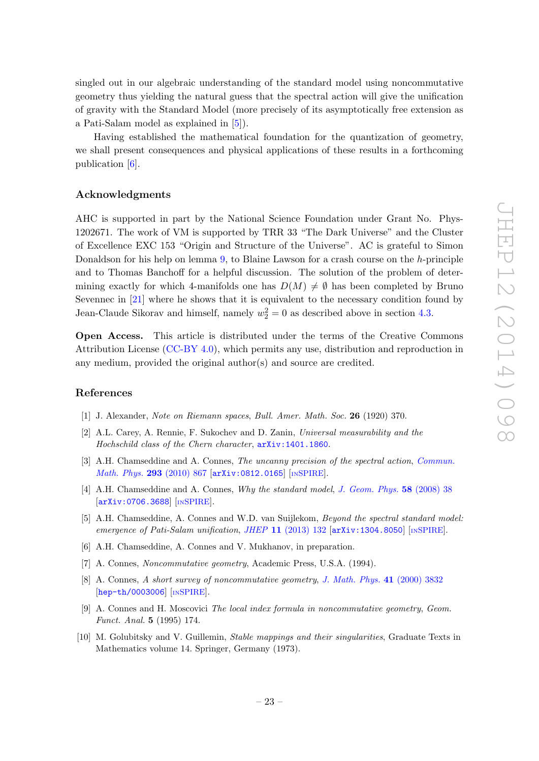singled out in our algebraic understanding of the standard model using noncommutative geometry thus yielding the natural guess that the spectral action will give the unification of gravity with the Standard Model (more precisely of its asymptotically free extension as a Pati-Salam model as explained in [\[5\]](#page-23-7)).

Having established the mathematical foundation for the quantization of geometry, we shall present consequences and physical applications of these results in a forthcoming publication [\[6\]](#page-23-8).

## Acknowledgments

AHC is supported in part by the National Science Foundation under Grant No. Phys-1202671. The work of VM is supported by TRR 33 "The Dark Universe" and the Cluster of Excellence EXC 153 "Origin and Structure of the Universe". AC is grateful to Simon Donaldson for his help on lemma [9,](#page-16-2) to Blaine Lawson for a crash course on the h-principle and to Thomas Banchoff for a helpful discussion. The solution of the problem of determining exactly for which 4-manifolds one has  $D(M) \neq \emptyset$  has been completed by Bruno Sevennec in [\[21\]](#page-24-12) where he shows that it is equivalent to the necessary condition found by Jean-Claude Sikorav and himself, namely  $w_2^2 = 0$  as described above in section [4.3.](#page-16-0)

Open Access. This article is distributed under the terms of the Creative Commons Attribution License [\(CC-BY 4.0\)](http://creativecommons.org/licenses/by/4.0/), which permits any use, distribution and reproduction in any medium, provided the original author(s) and source are credited.

#### References

- <span id="page-23-3"></span>[1] J. Alexander, Note on Riemann spaces, Bull. Amer. Math. Soc. 26 (1920) 370.
- <span id="page-23-6"></span>[2] A.L. Carey, A. Rennie, F. Sukochev and D. Zanin, Universal measurability and the Hochschild class of the Chern character, [arXiv:1401.1860](http://arxiv.org/abs/1401.1860).
- [3] A.H. Chamseddine and A. Connes, *The uncanny precision of the spectral action, [Commun.](http://dx.doi.org/10.1007/s00220-009-0949-3)* [Math. Phys.](http://dx.doi.org/10.1007/s00220-009-0949-3) 293 (2010) 867 [[arXiv:0812.0165](http://arxiv.org/abs/0812.0165)] [IN[SPIRE](http://inspirehep.net/search?p=find+EPRINT+arXiv:0812.0165)].
- <span id="page-23-0"></span>[4] A.H. Chamseddine and A. Connes, Why the standard model, [J. Geom. Phys.](http://dx.doi.org/10.1016/j.geomphys.2007.09.011) 58 (2008) 38 [[arXiv:0706.3688](http://arxiv.org/abs/0706.3688)] [IN[SPIRE](http://inspirehep.net/search?p=find+J+J.Geom.Phys.,58,38)].
- <span id="page-23-7"></span>[5] A.H. Chamseddine, A. Connes and W.D. van Suijlekom, Beyond the spectral standard model: emergence of Pati-Salam unification, JHEP  $11$  [\(2013\) 132](http://dx.doi.org/10.1007/JHEP11(2013)132)  $\left[$ [arXiv:1304.8050](http://arxiv.org/abs/1304.8050) $\right]$  [IN[SPIRE](http://inspirehep.net/search?p=find+J+JHEP,1311,132)].
- <span id="page-23-8"></span>[6] A.H. Chamseddine, A. Connes and V. Mukhanov, in preparation.
- <span id="page-23-2"></span>[7] A. Connes, Noncommutative geometry, Academic Press, U.S.A. (1994).
- <span id="page-23-1"></span>[8] A. Connes, A short survey of noncommutative geometry, [J. Math. Phys.](http://dx.doi.org/10.1063/1.533329) 41 (2000) 3832 [[hep-th/0003006](http://arxiv.org/abs/hep-th/0003006)] [IN[SPIRE](http://inspirehep.net/search?p=find+J+J.Math.Phys.,41,3832)].
- <span id="page-23-5"></span>[9] A. Connes and H. Moscovici The local index formula in noncommutative geometry, Geom. Funct. Anal. 5 (1995) 174.
- <span id="page-23-4"></span>[10] M. Golubitsky and V. Guillemin, *Stable mappings and their singularities*, Graduate Texts in Mathematics volume 14. Springer, Germany (1973).